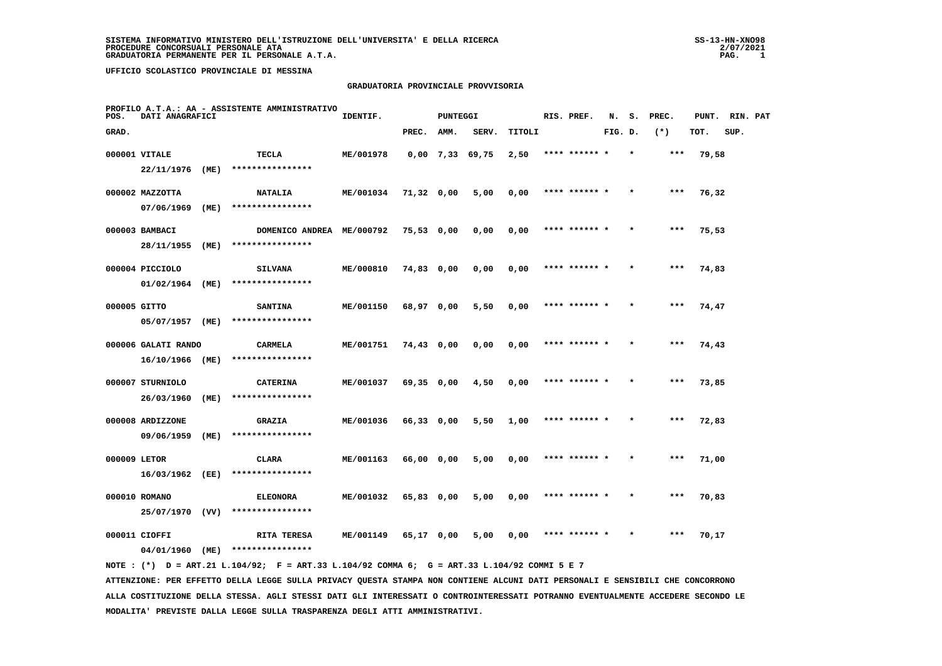#### **GRADUATORIA PROVINCIALE PROVVISORIA**

| POS.         | DATI ANAGRAFICI     |      | PROFILO A.T.A.: AA - ASSISTENTE AMMINISTRATIVO                                              | IDENTIF.         |            | <b>PUNTEGGI</b> |                   |        | RIS. PREF.    | N.      | s.      | PREC. | PUNT. RIN. PAT |      |  |
|--------------|---------------------|------|---------------------------------------------------------------------------------------------|------------------|------------|-----------------|-------------------|--------|---------------|---------|---------|-------|----------------|------|--|
| GRAD.        |                     |      |                                                                                             |                  | PREC.      | AMM.            | SERV.             | TITOLI |               | FIG. D. |         | $(*)$ | TOT.           | SUP. |  |
|              | 000001 VITALE       |      | <b>TECLA</b>                                                                                | ME/001978        |            |                 | $0,00$ 7,33 69,75 | 2,50   | **** ****** * |         | $\star$ | ***   | 79,58          |      |  |
|              | 22/11/1976 (ME)     |      | ****************                                                                            |                  |            |                 |                   |        |               |         |         |       |                |      |  |
|              | 000002 MAZZOTTA     |      | <b>NATALIA</b>                                                                              | ME/001034        | 71,32 0,00 |                 | 5,00              | 0,00   | **** ****** * |         |         | ***   | 76,32          |      |  |
|              | 07/06/1969          | (ME) | ****************                                                                            |                  |            |                 |                   |        |               |         |         |       |                |      |  |
|              | 000003 BAMBACI      |      | DOMENICO ANDREA ME/000792                                                                   |                  | 75,53 0,00 |                 | 0,00              | 0,00   | **** ****** * |         |         | $***$ | 75,53          |      |  |
|              | 28/11/1955          | (ME) | ****************                                                                            |                  |            |                 |                   |        |               |         |         |       |                |      |  |
|              | 000004 PICCIOLO     |      | <b>SILVANA</b>                                                                              | ME/000810        | 74,83 0,00 |                 | 0,00              | 0,00   | **** ****** * |         | $\star$ | ***   | 74,83          |      |  |
|              | 01/02/1964 (ME)     |      | ****************                                                                            |                  |            |                 |                   |        |               |         |         |       |                |      |  |
| 000005 GITTO |                     |      | <b>SANTINA</b>                                                                              | ME/001150        | 68,97 0,00 |                 | 5,50              | 0,00   | **** ****** * |         |         | ***   | 74,47          |      |  |
|              | 05/07/1957 (ME)     |      | ****************                                                                            |                  |            |                 |                   |        |               |         |         |       |                |      |  |
|              | 000006 GALATI RANDO |      | CARMELA                                                                                     | ME/001751        | 74,43 0,00 |                 | 0,00              | 0,00   | **** ******   |         |         |       | 74,43          |      |  |
|              | 16/10/1966 (ME)     |      | ****************                                                                            |                  |            |                 |                   |        |               |         |         |       |                |      |  |
|              | 000007 STURNIOLO    |      | <b>CATERINA</b>                                                                             | ME/001037        | 69,35 0,00 |                 | 4,50              | 0,00   | **** ****** * |         |         | ***   | 73,85          |      |  |
|              | 26/03/1960          | (ME) | ****************                                                                            |                  |            |                 |                   |        |               |         |         |       |                |      |  |
|              | 000008 ARDIZZONE    |      | <b>GRAZIA</b>                                                                               | ME/001036        | 66,33 0,00 |                 | 5,50              | 1,00   | **** ****** * |         |         | ***   | 72,83          |      |  |
|              | 09/06/1959          | (ME) | ****************                                                                            |                  |            |                 |                   |        |               |         |         |       |                |      |  |
| 000009 LETOR |                     |      | <b>CLARA</b>                                                                                | ME/001163        | 66,00 0,00 |                 | 5,00              | 0,00   | **** ****** * |         |         | $***$ | 71,00          |      |  |
|              | 16/03/1962 (EE)     |      | ****************                                                                            |                  |            |                 |                   |        |               |         |         |       |                |      |  |
|              | 000010 ROMANO       |      | <b>ELEONORA</b>                                                                             | ME/001032        | 65,83 0,00 |                 | 5,00              | 0,00   | **** ****** * |         |         | ***   | 70,83          |      |  |
|              | 25/07/1970 (VV)     |      | ****************                                                                            |                  |            |                 |                   |        |               |         |         |       |                |      |  |
|              | 000011 CIOFFI       |      | <b>RITA TERESA</b>                                                                          | <b>ME/001149</b> | 65,17 0,00 |                 | 5,00              | 0,00   | **** ****** * |         |         | $***$ | 70,17          |      |  |
|              |                     |      | 04/01/1960 (ME) ****************                                                            |                  |            |                 |                   |        |               |         |         |       |                |      |  |
|              |                     |      | NOTE: (*) D = ART.21 L.104/92; F = ART.33 L.104/92 COMMA 6; G = ART.33 L.104/92 COMMI 5 E 7 |                  |            |                 |                   |        |               |         |         |       |                |      |  |

 **ATTENZIONE: PER EFFETTO DELLA LEGGE SULLA PRIVACY QUESTA STAMPA NON CONTIENE ALCUNI DATI PERSONALI E SENSIBILI CHE CONCORRONO ALLA COSTITUZIONE DELLA STESSA. AGLI STESSI DATI GLI INTERESSATI O CONTROINTERESSATI POTRANNO EVENTUALMENTE ACCEDERE SECONDO LE MODALITA' PREVISTE DALLA LEGGE SULLA TRASPARENZA DEGLI ATTI AMMINISTRATIVI.**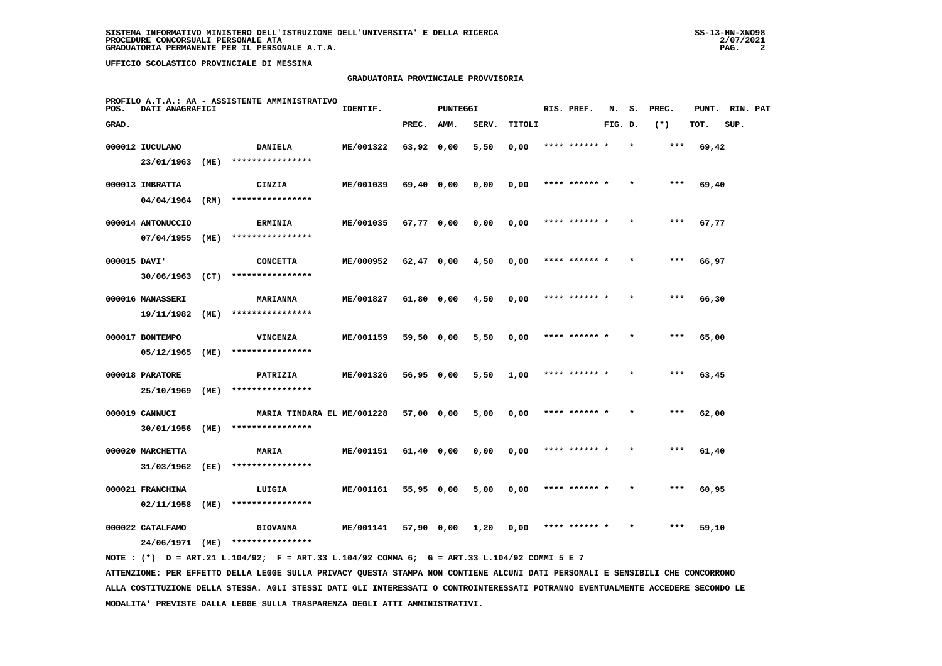## **GRADUATORIA PROVINCIALE PROVVISORIA**

| POS.         | DATI ANAGRAFICI   |      | PROFILO A.T.A.: AA - ASSISTENTE AMMINISTRATIVO | IDENTIF.  |              | <b>PUNTEGGI</b> |       |        | RIS. PREF.    | N.      | s. | PREC.  | PUNT. | RIN. PAT |  |
|--------------|-------------------|------|------------------------------------------------|-----------|--------------|-----------------|-------|--------|---------------|---------|----|--------|-------|----------|--|
| GRAD.        |                   |      |                                                |           | PREC.        | AMM.            | SERV. | TITOLI |               | FIG. D. |    | $(* )$ | TOT.  | SUP.     |  |
|              | 000012 IUCULANO   |      | <b>DANIELA</b>                                 | ME/001322 | 63,92 0,00   |                 | 5,50  | 0,00   | **** ****** * |         |    | $***$  | 69,42 |          |  |
|              | 23/01/1963        | (ME) | ****************                               |           |              |                 |       |        |               |         |    |        |       |          |  |
|              | 000013 IMBRATTA   |      | CINZIA                                         | ME/001039 | 69,40 0,00   |                 | 0,00  | 0,00   |               |         |    | ***    | 69,40 |          |  |
|              | 04/04/1964        | (RM) | ****************                               |           |              |                 |       |        |               |         |    |        |       |          |  |
|              | 000014 ANTONUCCIO |      | <b>ERMINIA</b>                                 | ME/001035 | 67,77 0,00   |                 | 0,00  | 0,00   | **** ****** * |         |    | ***    | 67,77 |          |  |
|              | 07/04/1955        | (ME) | ****************                               |           |              |                 |       |        |               |         |    |        |       |          |  |
| 000015 DAVI' |                   |      | <b>CONCETTA</b>                                | ME/000952 | 62,47 0,00   |                 | 4,50  | 0,00   | **** ****** * |         |    | ***    | 66,97 |          |  |
|              | 30/06/1963        | (CT) | ****************                               |           |              |                 |       |        |               |         |    |        |       |          |  |
|              | 000016 MANASSERI  |      | <b>MARIANNA</b>                                | ME/001827 | 61,80 0,00   |                 | 4,50  | 0,00   | **** ****** * |         |    | $***$  | 66,30 |          |  |
|              | 19/11/1982        | (ME) | ****************                               |           |              |                 |       |        |               |         |    |        |       |          |  |
|              | 000017 BONTEMPO   |      | <b>VINCENZA</b>                                | ME/001159 | 59,50 0,00   |                 | 5,50  | 0,00   | **** ****** * |         |    | ***    | 65,00 |          |  |
|              | 05/12/1965        | (ME) | ****************                               |           |              |                 |       |        |               |         |    |        |       |          |  |
|              | 000018 PARATORE   |      | PATRIZIA                                       | ME/001326 | 56,95 0,00   |                 | 5,50  | 1,00   | **** ****** * |         |    | $***$  | 63,45 |          |  |
|              | 25/10/1969        | (ME) | ****************                               |           |              |                 |       |        |               |         |    |        |       |          |  |
|              | 000019 CANNUCI    |      | MARIA TINDARA EL ME/001228                     |           | 57,00 0,00   |                 | 5,00  | 0,00   | **** ****** * |         |    | $***$  | 62,00 |          |  |
|              | 30/01/1956        | (ME) | ****************                               |           |              |                 |       |        |               |         |    |        |       |          |  |
|              | 000020 MARCHETTA  |      | <b>MARIA</b>                                   | ME/001151 | 61,40 0,00   |                 | 0,00  | 0,00   | **** ****** * |         |    | ***    | 61,40 |          |  |
|              | 31/03/1962        | (EE) | ****************                               |           |              |                 |       |        |               |         |    |        |       |          |  |
|              | 000021 FRANCHINA  |      | LUIGIA                                         | ME/001161 | $55,95$ 0,00 |                 | 5,00  | 0,00   | **** ****** * |         |    | ***    | 60,95 |          |  |
|              | 02/11/1958        | (ME) | ****************                               |           |              |                 |       |        |               |         |    |        |       |          |  |
|              | 000022 CATALFAMO  |      | <b>GIOVANNA</b>                                | ME/001141 | 57,90 0,00   |                 | 1,20  | 0,00   | **** ****** * |         |    | ***    | 59,10 |          |  |
|              | 24/06/1971        | (ME) | ****************                               |           |              |                 |       |        |               |         |    |        |       |          |  |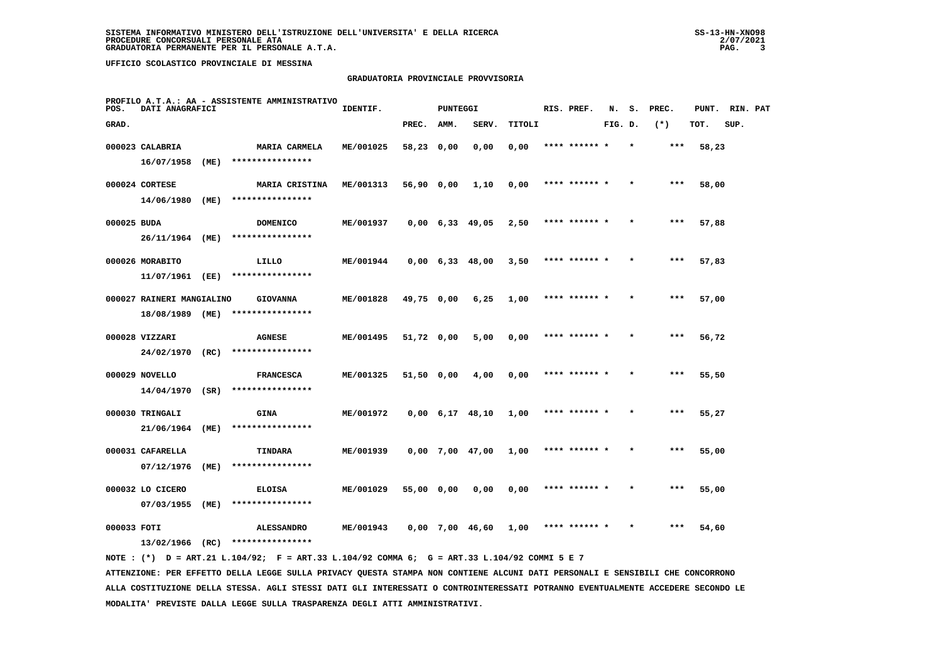## **GRADUATORIA PROVINCIALE PROVVISORIA**

| POS.        | DATI ANAGRAFICI                    |      | PROFILO A.T.A.: AA - ASSISTENTE AMMINISTRATIVO | IDENTIF.  |            | PUNTEGGI |                               |        | RIS. PREF.    | N.      | s.      | PREC. | PUNT. | RIN. PAT |  |
|-------------|------------------------------------|------|------------------------------------------------|-----------|------------|----------|-------------------------------|--------|---------------|---------|---------|-------|-------|----------|--|
| GRAD.       |                                    |      |                                                |           | PREC.      | AMM.     | SERV.                         | TITOLI |               | FIG. D. |         | $(*)$ | TOT.  | SUP.     |  |
|             | 000023 CALABRIA<br>16/07/1958 (ME) |      | <b>MARIA CARMELA</b><br>****************       | ME/001025 | 58,23 0,00 |          | 0,00                          | 0,00   | **** ******   |         |         | ***   | 58,23 |          |  |
|             | 000024 CORTESE                     |      | MARIA CRISTINA                                 | ME/001313 | 56,90 0,00 |          | 1,10                          | 0,00   | **** ****** * |         |         | ***   | 58,00 |          |  |
|             | 14/06/1980                         | (ME) | ****************                               |           |            |          |                               |        |               |         |         |       |       |          |  |
| 000025 BUDA |                                    |      | <b>DOMENICO</b>                                | ME/001937 |            |          | $0,00 \quad 6,33 \quad 49,05$ | 2,50   | **** ****** * |         | $\star$ | $***$ | 57,88 |          |  |
|             | 26/11/1964                         | (ME) | ****************                               |           |            |          |                               |        |               |         |         |       |       |          |  |
|             | 000026 MORABITO                    |      | LILLO                                          | ME/001944 |            |          | $0,00 \quad 6,33 \quad 48,00$ | 3,50   | **** ****** * |         |         | $***$ | 57,83 |          |  |
|             | 11/07/1961 (EE)                    |      | ****************                               |           |            |          |                               |        |               |         |         |       |       |          |  |
|             | 000027 RAINERI MANGIALINO          |      | <b>GIOVANNA</b><br>****************            | ME/001828 | 49,75 0,00 |          | 6,25                          | 1,00   | **** ****** * |         |         | $***$ | 57,00 |          |  |
|             | 18/08/1989 (ME)                    |      |                                                |           |            |          |                               |        |               |         |         |       |       |          |  |
|             | 000028 VIZZARI<br>24/02/1970 (RC)  |      | <b>AGNESE</b><br>****************              | ME/001495 | 51,72 0,00 |          | 5,00                          | 0,00   | **** ****** * |         | $\star$ | $***$ | 56,72 |          |  |
|             | 000029 NOVELLO                     |      | <b>FRANCESCA</b>                               | ME/001325 | 51,50 0,00 |          | 4,00                          | 0,00   | **** ******   |         |         | ***   |       |          |  |
|             | $14/04/1970$ (SR)                  |      | ****************                               |           |            |          |                               |        |               |         |         |       | 55,50 |          |  |
|             | 000030 TRINGALI                    |      | <b>GINA</b>                                    | ME/001972 |            |          | $0,00 \quad 6,17 \quad 48,10$ | 1,00   | **** ****** * |         |         | $***$ | 55,27 |          |  |
|             | 21/06/1964                         | (ME) | ****************                               |           |            |          |                               |        |               |         |         |       |       |          |  |
|             | 000031 CAFARELLA                   |      | TINDARA                                        | ME/001939 |            |          | $0,00$ 7,00 47,00             | 1,00   | **** ****** * |         | $\star$ | $***$ | 55,00 |          |  |
|             | 07/12/1976                         | (ME) | ****************                               |           |            |          |                               |        |               |         |         |       |       |          |  |
|             | 000032 LO CICERO                   |      | <b>ELOISA</b>                                  | ME/001029 | 55,00 0,00 |          | 0,00                          | 0,00   | **** ****** * |         |         | ***   | 55,00 |          |  |
|             | 07/03/1955                         | (ME) | ****************                               |           |            |          |                               |        |               |         |         |       |       |          |  |
| 000033 FOTI |                                    |      | <b>ALESSANDRO</b>                              | ME/001943 |            |          | $0.00$ 7.00 46.60             | 1,00   | **** ****** * |         |         | ***   | 54,60 |          |  |
|             | 13/02/1966                         | (RC) | ****************                               |           |            |          |                               |        |               |         |         |       |       |          |  |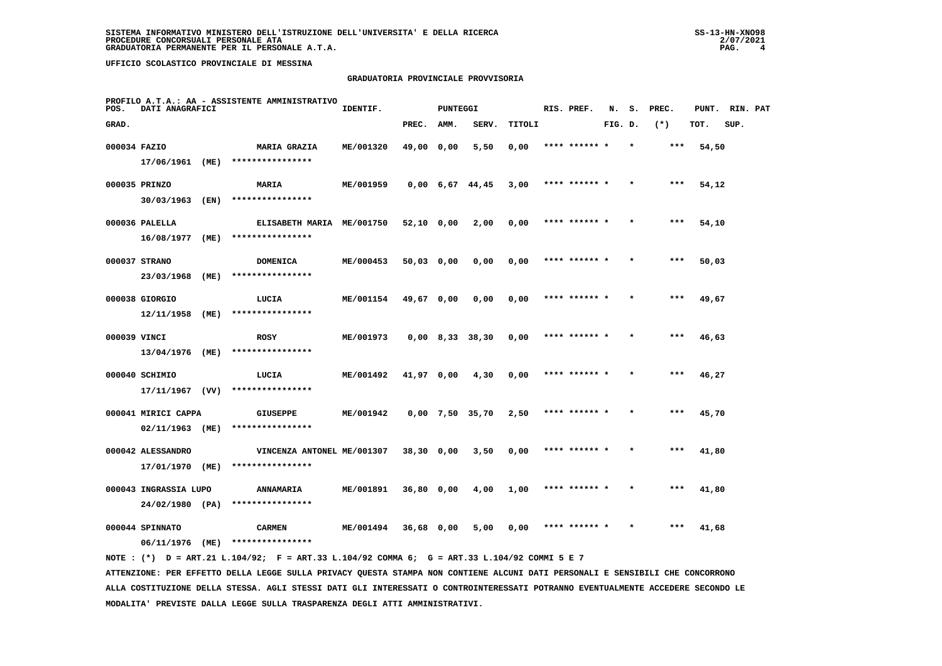## **GRADUATORIA PROVINCIALE PROVVISORIA**

| POS.         | DATI ANAGRAFICI                     |      | PROFILO A.T.A.: AA - ASSISTENTE AMMINISTRATIVO | IDENTIF.  |              | <b>PUNTEGGI</b> |                               |        | RIS. PREF.    | N.      | s.      | PREC. | PUNT. | RIN. PAT |  |
|--------------|-------------------------------------|------|------------------------------------------------|-----------|--------------|-----------------|-------------------------------|--------|---------------|---------|---------|-------|-------|----------|--|
| GRAD.        |                                     |      |                                                |           | PREC.        | AMM.            | SERV.                         | TITOLI |               | FIG. D. |         | $(*)$ | TOT.  | SUP.     |  |
| 000034 FAZIO |                                     |      | <b>MARIA GRAZIA</b>                            | ME/001320 | 49,00 0,00   |                 | 5,50                          | 0,00   | **** ****** * |         | $\star$ | ***   | 54,50 |          |  |
|              | 17/06/1961 (ME)                     |      | ****************                               |           |              |                 |                               |        |               |         |         |       |       |          |  |
|              | 000035 PRINZO                       |      | <b>MARIA</b>                                   | ME/001959 |              |                 | $0,00 \quad 6,67 \quad 44,45$ | 3,00   | **** ****** * |         |         | ***   | 54,12 |          |  |
|              | 30/03/1963 (EN)                     |      | ****************                               |           |              |                 |                               |        |               |         |         |       |       |          |  |
|              | 000036 PALELLA                      |      | ELISABETH MARIA ME/001750                      |           | $52,10$ 0,00 |                 | 2,00                          | 0,00   | **** ****** * |         |         | ***   | 54,10 |          |  |
|              | 16/08/1977 (ME)                     |      | ****************                               |           |              |                 |                               |        |               |         |         |       |       |          |  |
|              | 000037 STRANO                       |      | <b>DOMENICA</b>                                | ME/000453 | $50,03$ 0,00 |                 | 0,00                          | 0,00   | **** ****** * |         |         | ***   | 50,03 |          |  |
|              | 23/03/1968                          | (ME) | ****************                               |           |              |                 |                               |        |               |         |         |       |       |          |  |
|              | 000038 GIORGIO<br>12/11/1958        | (ME) | LUCIA<br>****************                      | ME/001154 | 49,67 0,00   |                 | 0,00                          | 0,00   | **** ****** * |         |         | ***   | 49,67 |          |  |
|              |                                     |      |                                                |           |              |                 |                               |        |               |         |         |       |       |          |  |
| 000039 VINCI | 13/04/1976                          | (ME) | <b>ROSY</b><br>****************                | ME/001973 |              |                 | $0,00$ 8,33 38,30             | 0,00   | **** ****** * |         |         | $***$ | 46,63 |          |  |
|              |                                     |      |                                                |           |              |                 |                               |        | **** ****** * |         |         | ***   |       |          |  |
|              | 000040 SCHIMIO<br>$17/11/1967$ (VV) |      | LUCIA<br>****************                      | ME/001492 | 41,97 0,00   |                 | 4,30                          | 0,00   |               |         |         |       | 46,27 |          |  |
|              | 000041 MIRICI CAPPA                 |      | <b>GIUSEPPE</b>                                | ME/001942 |              |                 | $0,00$ 7,50 35,70             | 2,50   | **** ****** * |         |         | ***   | 45,70 |          |  |
|              | 02/11/1963 (ME)                     |      | ****************                               |           |              |                 |                               |        |               |         |         |       |       |          |  |
|              | 000042 ALESSANDRO                   |      | VINCENZA ANTONEL ME/001307                     |           | $38,30$ 0,00 |                 | 3,50                          | 0,00   | **** ****** * |         |         | ***   | 41,80 |          |  |
|              | 17/01/1970 (ME)                     |      | ****************                               |           |              |                 |                               |        |               |         |         |       |       |          |  |
|              | 000043 INGRASSIA LUPO               |      | <b>ANNAMARIA</b>                               | ME/001891 | $36,80$ 0,00 |                 | 4,00                          | 1,00   | **** ****** * |         |         | $***$ | 41,80 |          |  |
|              | 24/02/1980 (PA)                     |      | ****************                               |           |              |                 |                               |        |               |         |         |       |       |          |  |
|              | 000044 SPINNATO                     |      | <b>CARMEN</b>                                  | ME/001494 | 36,68 0,00   |                 | 5,00                          | 0,00   | **** ****** * |         |         | ***   | 41,68 |          |  |
|              | 06/11/1976                          | (ME) | ****************                               |           |              |                 |                               |        |               |         |         |       |       |          |  |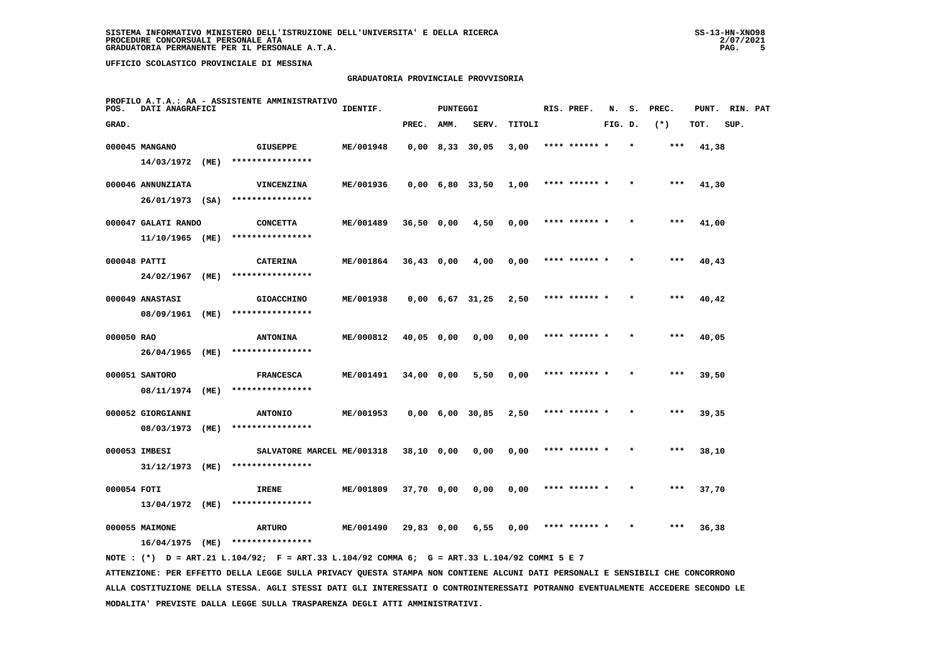## **GRADUATORIA PROVINCIALE PROVVISORIA**

| POS.         | DATI ANAGRAFICI     |      | PROFILO A.T.A.: AA - ASSISTENTE AMMINISTRATIVO | IDENTIF.  |              | <b>PUNTEGGI</b> |                               |        | RIS. PREF.    | N.      | s. | PREC. | PUNT. | RIN. PAT |  |
|--------------|---------------------|------|------------------------------------------------|-----------|--------------|-----------------|-------------------------------|--------|---------------|---------|----|-------|-------|----------|--|
| GRAD.        |                     |      |                                                |           | PREC.        | AMM.            | SERV.                         | TITOLI |               | FIG. D. |    | $(*)$ | TOT.  | SUP.     |  |
|              | 000045 MANGANO      |      | GIUSEPPE                                       | ME/001948 |              |                 | $0,00$ 8,33 30,05             | 3,00   | **** ****** * |         |    | ***   | 41,38 |          |  |
|              | 14/03/1972 (ME)     |      | ****************                               |           |              |                 |                               |        |               |         |    |       |       |          |  |
|              | 000046 ANNUNZIATA   |      | <b>VINCENZINA</b>                              | ME/001936 |              |                 | 0,00 6,80 33,50               | 1,00   | **** ****** * |         |    | ***   | 41,30 |          |  |
|              | $26/01/1973$ (SA)   |      | ****************                               |           |              |                 |                               |        |               |         |    |       |       |          |  |
|              | 000047 GALATI RANDO |      | <b>CONCETTA</b>                                | ME/001489 | 36,50 0,00   |                 | 4,50                          | 0,00   | **** ****** * |         |    | $***$ | 41,00 |          |  |
|              | 11/10/1965 (ME)     |      | ****************                               |           |              |                 |                               |        |               |         |    |       |       |          |  |
| 000048 PATTI |                     |      | <b>CATERINA</b>                                | ME/001864 | $36,43$ 0,00 |                 | 4,00                          | 0,00   | **** ****** * |         |    | $***$ | 40,43 |          |  |
|              | 24/02/1967          | (ME) | ****************                               |           |              |                 |                               |        |               |         |    |       |       |          |  |
|              | 000049 ANASTASI     |      | <b>GIOACCHINO</b>                              | ME/001938 |              |                 | $0,00 \quad 6,67 \quad 31,25$ | 2,50   | **** ****** * |         |    | $***$ | 40,42 |          |  |
|              | 08/09/1961 (ME)     |      | ****************                               |           |              |                 |                               |        |               |         |    |       |       |          |  |
| 000050 RAO   |                     |      | <b>ANTONINA</b>                                | ME/000812 | 40,05 0,00   |                 | 0,00                          | 0,00   | **** ****** * |         |    | ***   | 40,05 |          |  |
|              | 26/04/1965 (ME)     |      | ****************                               |           |              |                 |                               |        |               |         |    |       |       |          |  |
|              | 000051 SANTORO      |      | <b>FRANCESCA</b>                               | ME/001491 | $34,00$ 0,00 |                 | 5,50                          | 0,00   | **** ****** * |         |    | $***$ | 39,50 |          |  |
|              | 08/11/1974 (ME)     |      | ****************                               |           |              |                 |                               |        |               |         |    |       |       |          |  |
|              | 000052 GIORGIANNI   |      | <b>ANTONIO</b><br>****************             | ME/001953 |              |                 | $0,00 \quad 6,00 \quad 30,85$ | 2,50   | **** ******   |         |    | ***   | 39,35 |          |  |
|              | 08/03/1973          | (ME) |                                                |           |              |                 |                               |        |               |         |    |       |       |          |  |
|              | 000053 IMBESI       |      | SALVATORE MARCEL ME/001318<br>**************** |           | $38,10$ 0,00 |                 | 0,00                          | 0,00   | **** ****** * |         |    | $***$ | 38,10 |          |  |
|              | 31/12/1973          | (ME) |                                                |           |              |                 |                               |        |               |         |    |       |       |          |  |
| 000054 FOTI  |                     |      | IRENE                                          | ME/001809 | 37,70 0,00   |                 | 0,00                          | 0,00   | **** ****** * |         |    | ***   | 37,70 |          |  |
|              | 13/04/1972          | (ME) | ****************                               |           |              |                 |                               |        |               |         |    |       |       |          |  |
|              | 000055 MAIMONE      |      | <b>ARTURO</b>                                  | ME/001490 | 29,83 0,00   |                 | 6,55                          | 0,00   | **** ****** * |         |    | ***   | 36,38 |          |  |
|              | 16/04/1975          | (ME) | ****************                               |           |              |                 |                               |        |               |         |    |       |       |          |  |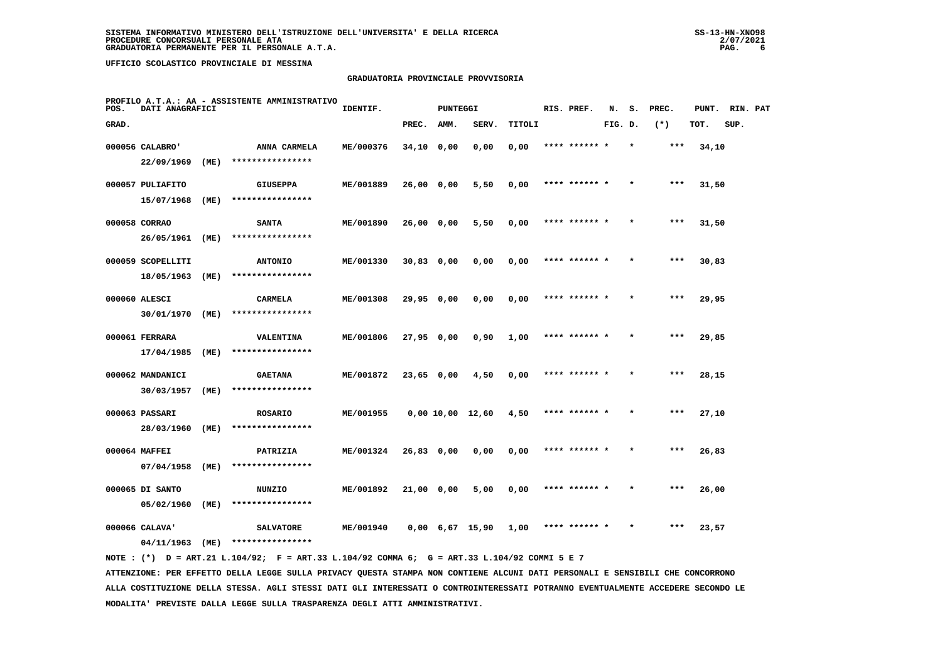## **GRADUATORIA PROVINCIALE PROVVISORIA**

| POS.  | DATI ANAGRAFICI                 |      | PROFILO A.T.A.: AA - ASSISTENTE AMMINISTRATIVO | IDENTIF.  |              | <b>PUNTEGGI</b>               |                  |        | RIS. PREF.    | N.      | s.      | PREC. | PUNT. | RIN. PAT |  |
|-------|---------------------------------|------|------------------------------------------------|-----------|--------------|-------------------------------|------------------|--------|---------------|---------|---------|-------|-------|----------|--|
| GRAD. |                                 |      |                                                |           | PREC.        | AMM.                          | SERV.            | TITOLI |               | FIG. D. |         | $(*)$ | TOT.  | SUP.     |  |
|       | 000056 CALABRO'<br>22/09/1969   | (ME) | ANNA CARMELA<br>****************               | ME/000376 | $34,10$ 0,00 |                               | 0,00             | 0,00   | **** ******   |         |         | ***   | 34,10 |          |  |
|       | 000057 PULIAFITO                |      | <b>GIUSEPPA</b>                                | ME/001889 | 26,00 0,00   |                               | 5,50             | 0,00   | **** ****** * |         |         | ***   | 31,50 |          |  |
|       | 15/07/1968<br>000058 CORRAO     | (ME) | ****************<br><b>SANTA</b>               | ME/001890 | 26,00 0,00   |                               | 5,50             | 0,00   | **** ******   |         |         | ***   | 31,50 |          |  |
|       | 26/05/1961                      | (ME) | ****************                               |           |              |                               |                  |        |               |         |         |       |       |          |  |
|       | 000059 SCOPELLITI<br>18/05/1963 | (ME) | <b>ANTONIO</b><br>****************             | ME/001330 | $30,83$ 0,00 |                               | 0,00             | 0,00   | **** ****** * |         |         | $***$ | 30,83 |          |  |
|       | 000060 ALESCI                   |      | <b>CARMELA</b>                                 | ME/001308 | $29,95$ 0,00 |                               | 0,00             | 0,00   | **** ****** * |         |         | $***$ | 29,95 |          |  |
|       | 30/01/1970                      | (ME) | ****************                               |           |              |                               |                  |        |               |         |         |       |       |          |  |
|       | 000061 FERRARA<br>17/04/1985    | (ME) | <b>VALENTINA</b><br>****************           | ME/001806 | 27,95 0,00   |                               | 0,90             | 1,00   | **** ****** * |         |         | $***$ | 29,85 |          |  |
|       | 000062 MANDANICI                |      | <b>GAETANA</b>                                 | ME/001872 | 23,65 0,00   |                               | 4,50             | 0,00   | **** ****** * |         |         | ***   | 28,15 |          |  |
|       | 30/03/1957                      | (ME) | ****************                               |           |              |                               |                  |        |               |         |         |       |       |          |  |
|       | 000063 PASSARI<br>28/03/1960    | (ME) | <b>ROSARIO</b><br>****************             | ME/001955 |              |                               | 0,00 10,00 12,60 | 4,50   | **** ******   |         |         | ***   | 27,10 |          |  |
|       | 000064 MAFFEI                   |      | PATRIZIA                                       | ME/001324 | 26,83 0,00   |                               | 0,00             | 0,00   | **** ****** * |         |         | $***$ | 26,83 |          |  |
|       | 07/04/1958<br>000065 DI SANTO   | (ME) | ****************<br>NUNZIO                     | ME/001892 | 21,00 0,00   |                               | 5,00             | 0,00   | **** ****** * |         | $\star$ | ***   | 26,00 |          |  |
|       | 05/02/1960                      | (ME) | ****************                               |           |              |                               |                  |        |               |         |         |       |       |          |  |
|       | 000066 CALAVA'<br>04/11/1963    | (ME) | <b>SALVATORE</b><br>****************           | ME/001940 |              | $0,00 \quad 6,67 \quad 15,90$ |                  | 1,00   | **** ****** * |         |         | ***   | 23,57 |          |  |
|       |                                 |      |                                                |           |              |                               |                  |        |               |         |         |       |       |          |  |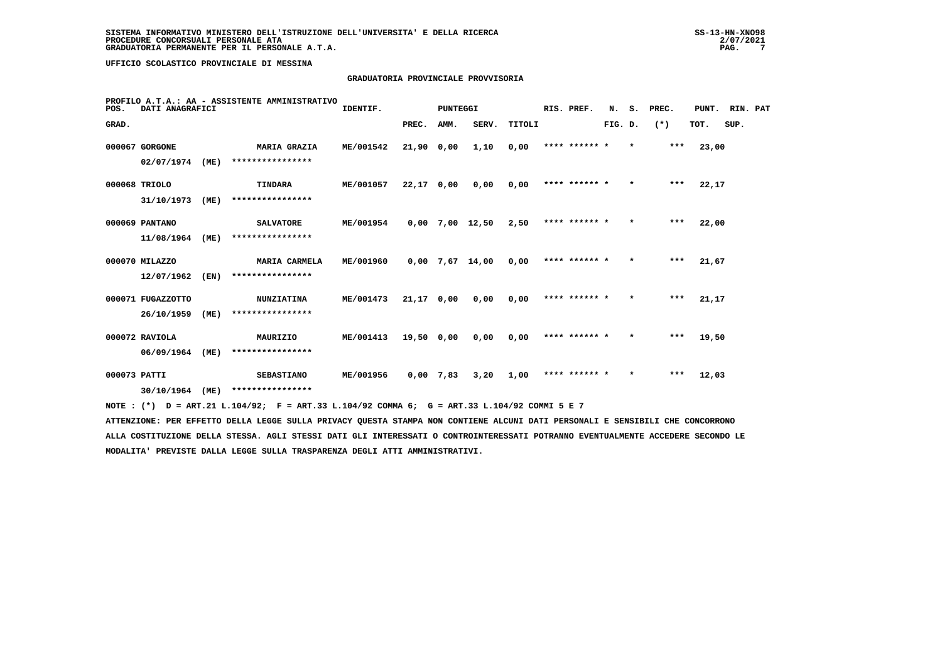# **GRADUATORIA PROVINCIALE PROVVISORIA**

| POS.         | DATI ANAGRAFICI   |      | PROFILO A.T.A.: AA - ASSISTENTE AMMINISTRATIVO                                              | IDENTIF.  |              | <b>PUNTEGGI</b> |                   |        | RIS. PREF.    | N.      | s.      | PREC. | PUNT. | RIN. PAT |  |
|--------------|-------------------|------|---------------------------------------------------------------------------------------------|-----------|--------------|-----------------|-------------------|--------|---------------|---------|---------|-------|-------|----------|--|
| GRAD.        |                   |      |                                                                                             |           | PREC.        | AMM.            | SERV.             | TITOLI |               | FIG. D. |         | $(*)$ | TOT.  | SUP.     |  |
|              | 000067 GORGONE    |      | <b>MARIA GRAZIA</b>                                                                         | ME/001542 | 21,90 0,00   |                 | 1,10              | 0,00   | **** ****** * |         | $\star$ | ***   | 23,00 |          |  |
|              | 02/07/1974        | (ME) | ****************                                                                            |           |              |                 |                   |        |               |         |         |       |       |          |  |
|              | 000068 TRIOLO     |      | TINDARA                                                                                     | ME/001057 | 22,17 0,00   |                 | 0,00              | 0,00   | **** ****** * |         | $\star$ | $***$ | 22,17 |          |  |
|              | 31/10/1973        | (ME) | ****************                                                                            |           |              |                 |                   |        |               |         |         |       |       |          |  |
|              | 000069 PANTANO    |      | <b>SALVATORE</b>                                                                            | ME/001954 |              |                 | $0,00$ 7,00 12,50 | 2,50   | **** ****** * |         | $\star$ | ***   | 22,00 |          |  |
|              | 11/08/1964        | (ME) | ****************                                                                            |           |              |                 |                   |        |               |         |         |       |       |          |  |
|              | 000070 MILAZZO    |      | MARIA CARMELA                                                                               | ME/001960 |              |                 | $0,00$ 7,67 14,00 | 0,00   | **** ****** * |         | $\star$ | ***   | 21,67 |          |  |
|              | 12/07/1962        | (EN) | ****************                                                                            |           |              |                 |                   |        |               |         |         |       |       |          |  |
|              | 000071 FUGAZZOTTO |      | <b>NUNZIATINA</b>                                                                           | ME/001473 | $21,17$ 0,00 |                 | 0,00              | 0,00   | **** ****** * |         | $\star$ | ***   | 21,17 |          |  |
|              | 26/10/1959        | (ME) | ****************                                                                            |           |              |                 |                   |        |               |         |         |       |       |          |  |
|              | 000072 RAVIOLA    |      | MAURIZIO                                                                                    | ME/001413 | 19,50 0,00   |                 | 0,00              | 0,00   | **** ****** * |         | $\star$ | ***   | 19,50 |          |  |
|              | 06/09/1964        | (ME) | ****************                                                                            |           |              |                 |                   |        |               |         |         |       |       |          |  |
| 000073 PATTI |                   |      | <b>SEBASTIANO</b>                                                                           | ME/001956 | $0,00$ 7,83  |                 | 3,20              | 1,00   | **** ****** * |         | $\star$ | ***   | 12,03 |          |  |
|              | 30/10/1964        | (ME) | ****************                                                                            |           |              |                 |                   |        |               |         |         |       |       |          |  |
|              |                   |      | NOTE: (*) D = ART.21 L.104/92; F = ART.33 L.104/92 COMMA 6; G = ART.33 L.104/92 COMMI 5 E 7 |           |              |                 |                   |        |               |         |         |       |       |          |  |

 **ATTENZIONE: PER EFFETTO DELLA LEGGE SULLA PRIVACY QUESTA STAMPA NON CONTIENE ALCUNI DATI PERSONALI E SENSIBILI CHE CONCORRONO ALLA COSTITUZIONE DELLA STESSA. AGLI STESSI DATI GLI INTERESSATI O CONTROINTERESSATI POTRANNO EVENTUALMENTE ACCEDERE SECONDO LE MODALITA' PREVISTE DALLA LEGGE SULLA TRASPARENZA DEGLI ATTI AMMINISTRATIVI.**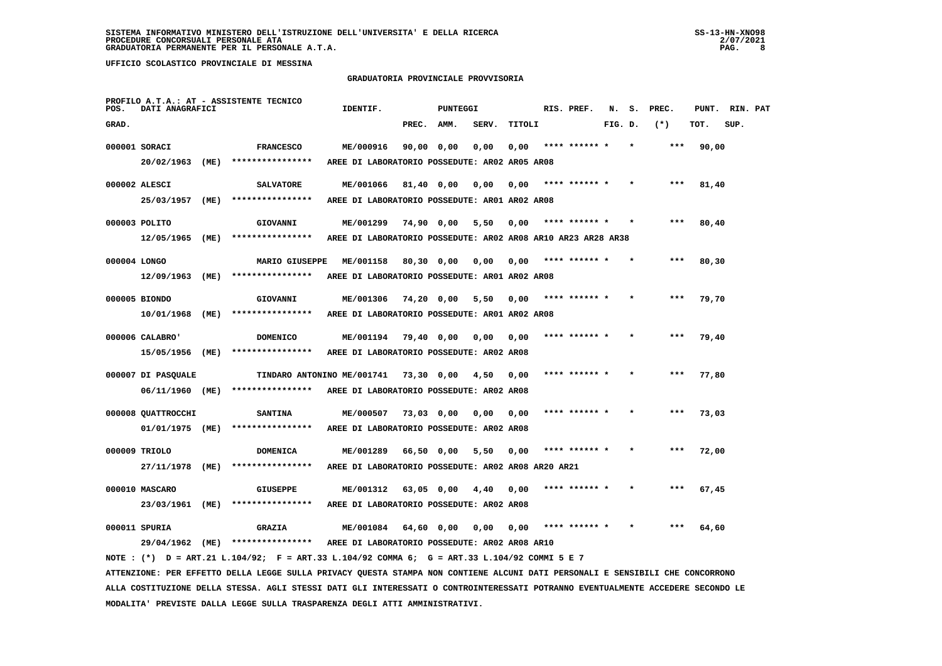#### **GRADUATORIA PROVINCIALE PROVVISORIA**

| POS.         | DATI ANAGRAFICI    |      | PROFILO A.T.A.: AT - ASSISTENTE TECNICO                                                                                         | IDENTIF.                                                     |              | PUNTEGGI    |       |        | RIS. PREF.    | N.      | s. | PREC.  | PUNT. | RIN. PAT |  |
|--------------|--------------------|------|---------------------------------------------------------------------------------------------------------------------------------|--------------------------------------------------------------|--------------|-------------|-------|--------|---------------|---------|----|--------|-------|----------|--|
| GRAD.        |                    |      |                                                                                                                                 |                                                              | PREC.        | <b>AMM.</b> | SERV. | TITOLI |               | FIG. D. |    | $(* )$ | TOT.  | SUP.     |  |
|              | 000001 SORACI      |      | <b>FRANCESCO</b>                                                                                                                | ME/000916                                                    | 90,00 0,00   |             | 0,00  | 0,00   | **** ****** * |         |    | ***    | 90,00 |          |  |
|              | 20/02/1963 (ME)    |      | ****************                                                                                                                | AREE DI LABORATORIO POSSEDUTE: AR02 AR05 AR08                |              |             |       |        |               |         |    |        |       |          |  |
|              | 000002 ALESCI      |      | <b>SALVATORE</b>                                                                                                                | ME/001066                                                    | 81,40 0,00   |             | 0,00  | 0,00   | **** ****** * |         |    |        | 81,40 |          |  |
|              | 25/03/1957         | (ME) | ****************                                                                                                                | AREE DI LABORATORIO POSSEDUTE: AR01 AR02 AR08                |              |             |       |        |               |         |    |        |       |          |  |
|              | 000003 POLITO      |      | <b>GIOVANNI</b>                                                                                                                 | ME/001299                                                    |              | 74,90 0,00  | 5,50  | 0,00   | **** ****** * |         |    |        | 80,40 |          |  |
|              | 12/05/1965 (ME)    |      | ****************                                                                                                                | AREE DI LABORATORIO POSSEDUTE: AR02 AR08 AR10 AR23 AR28 AR38 |              |             |       |        |               |         |    |        |       |          |  |
| 000004 LONGO |                    |      | MARIO GIUSEPPE                                                                                                                  | ME/001158                                                    | 80,30 0,00   |             | 0,00  | 0,00   |               |         |    |        | 80,30 |          |  |
|              | 12/09/1963 (ME)    |      | ****************                                                                                                                | AREE DI LABORATORIO POSSEDUTE: AR01 AR02 AR08                |              |             |       |        |               |         |    |        |       |          |  |
|              | 000005 BIONDO      |      | GIOVANNI                                                                                                                        | ME/001306                                                    | $74,20$ 0,00 |             | 5,50  | 0,00   | **** ****** * |         |    |        | 79,70 |          |  |
|              | 10/01/1968 (ME)    |      | ****************                                                                                                                | AREE DI LABORATORIO POSSEDUTE: ARO1 ARO2 ARO8                |              |             |       |        |               |         |    |        |       |          |  |
|              | 000006 CALABRO'    |      | <b>DOMENICO</b>                                                                                                                 | ME/001194                                                    | 79,40 0,00   |             | 0,00  | 0,00   |               |         |    |        | 79,40 |          |  |
|              | 15/05/1956 (ME)    |      | ****************                                                                                                                | AREE DI LABORATORIO POSSEDUTE: AR02 AR08                     |              |             |       |        |               |         |    |        |       |          |  |
|              | 000007 DI PASQUALE |      | TINDARO ANTONINO ME/001741                                                                                                      |                                                              | 73,30 0,00   |             | 4,50  | 0,00   |               |         |    |        | 77,80 |          |  |
|              | 06/11/1960 (ME)    |      | ****************                                                                                                                | AREE DI LABORATORIO POSSEDUTE: AR02 AR08                     |              |             |       |        |               |         |    |        |       |          |  |
|              | 000008 QUATTROCCHI |      | <b>SANTINA</b>                                                                                                                  | ME/000507                                                    | 73,03 0,00   |             | 0.00  | 0.00   |               |         |    |        | 73,03 |          |  |
|              | 01/01/1975 (ME)    |      | ****************                                                                                                                | AREE DI LABORATORIO POSSEDUTE: AR02 AR08                     |              |             |       |        |               |         |    |        |       |          |  |
|              | 000009 TRIOLO      |      | <b>DOMENICA</b>                                                                                                                 | ME/001289                                                    | 66,50 0,00   |             | 5,50  | 0,00   | **** ****** * |         |    | ***    | 72,00 |          |  |
|              | 27/11/1978 (ME)    |      | ****************                                                                                                                | AREE DI LABORATORIO POSSEDUTE: AR02 AR08 AR20 AR21           |              |             |       |        |               |         |    |        |       |          |  |
|              | 000010 MASCARO     |      | <b>GIUSEPPE</b>                                                                                                                 | ME/001312                                                    | 63,05 0,00   |             | 4,40  | 0,00   |               |         |    |        | 67,45 |          |  |
|              | 23/03/1961 (ME)    |      | ****************                                                                                                                | AREE DI LABORATORIO POSSEDUTE: AR02 AR08                     |              |             |       |        |               |         |    |        |       |          |  |
|              | 000011 SPURIA      |      | <b>GRAZIA</b>                                                                                                                   | ME/001084                                                    | 64,60 0,00   |             | 0,00  | 0,00   | **** ****** * |         |    | ***    | 64,60 |          |  |
|              |                    |      | 29/04/1962 (ME) ****************                                                                                                | AREE DI LABORATORIO POSSEDUTE: AR02 AR08 AR10                |              |             |       |        |               |         |    |        |       |          |  |
|              |                    |      | NOTE : $(*)$ D = ART.21 L.104/92; F = ART.33 L.104/92 COMMA 6; G = ART.33 L.104/92 COMMI 5 E 7                                  |                                                              |              |             |       |        |               |         |    |        |       |          |  |
|              |                    |      | ATTENZIONE: PER EFFETTO DELLA LEGGE SULLA PRIVACY QUESTA STAMPA NON CONTIENE ALCUNI DATI PERSONALI E SENSIBILI CHE CONCORRONO   |                                                              |              |             |       |        |               |         |    |        |       |          |  |
|              |                    |      | ALLA COSTITUZIONE DELLA STESSA. AGLI STESSI DATI GLI INTERESSATI O CONTROINTERESSATI POTRANNO EVENTUALMENTE ACCEDERE SECONDO LE |                                                              |              |             |       |        |               |         |    |        |       |          |  |

 **MODALITA' PREVISTE DALLA LEGGE SULLA TRASPARENZA DEGLI ATTI AMMINISTRATIVI.**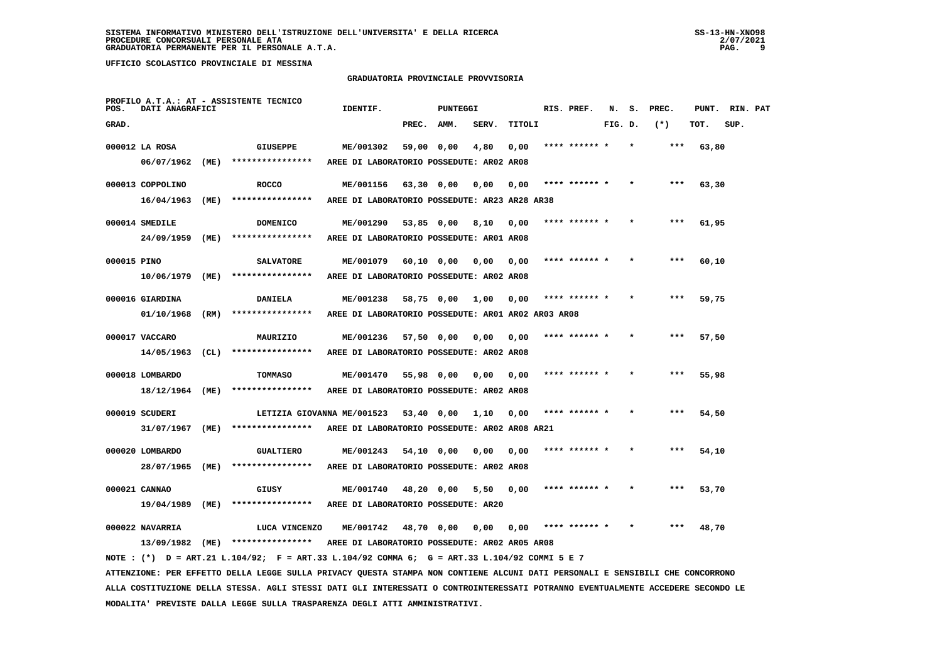## **GRADUATORIA PROVINCIALE PROVVISORIA**

| POS.        | DATI ANAGRAFICI   |      | PROFILO A.T.A.: AT - ASSISTENTE TECNICO                                                                                         | IDENTIF.                                           |              | PUNTEGGI   |       |        | RIS. PREF.    | N.      | s. | PREC. |       | PUNT. RIN. PAT |  |
|-------------|-------------------|------|---------------------------------------------------------------------------------------------------------------------------------|----------------------------------------------------|--------------|------------|-------|--------|---------------|---------|----|-------|-------|----------------|--|
| GRAD.       |                   |      |                                                                                                                                 |                                                    | PREC.        | AMM.       | SERV. | TITOLI |               | FIG. D. |    | $(*)$ | TOT.  | SUP.           |  |
|             | 000012 LA ROSA    |      | <b>GIUSEPPE</b>                                                                                                                 | ME/001302                                          | 59,00 0,00   |            | 4,80  | 0,00   |               |         |    |       | 63,80 |                |  |
|             | 06/07/1962        | (ME) | ****************                                                                                                                | AREE DI LABORATORIO POSSEDUTE: AR02 AR08           |              |            |       |        |               |         |    |       |       |                |  |
|             | 000013 COPPOLINO  |      | <b>ROCCO</b>                                                                                                                    | ME/001156                                          | 63,30 0,00   |            | 0,00  | 0,00   | **** ****** * |         |    | $***$ | 63,30 |                |  |
|             | 16/04/1963        | (ME) | ****************                                                                                                                | AREE DI LABORATORIO POSSEDUTE: AR23 AR28 AR38      |              |            |       |        |               |         |    |       |       |                |  |
|             | 000014 SMEDILE    |      | <b>DOMENICO</b>                                                                                                                 | ME/001290                                          |              | 53,85 0,00 | 8,10  | 0,00   | **** ****** * |         |    | ***   | 61,95 |                |  |
|             | 24/09/1959        | (ME) | ****************                                                                                                                | AREE DI LABORATORIO POSSEDUTE: AR01 AR08           |              |            |       |        |               |         |    |       |       |                |  |
| 000015 PINO |                   |      | <b>SALVATORE</b>                                                                                                                | ME/001079                                          | 60,10 0,00   |            | 0,00  | 0,00   | **** ****** * |         |    | ***   | 60,10 |                |  |
|             | 10/06/1979 (ME)   |      | ****************                                                                                                                | AREE DI LABORATORIO POSSEDUTE: AR02 AR08           |              |            |       |        |               |         |    |       |       |                |  |
|             | 000016 GIARDINA   |      | <b>DANIELA</b>                                                                                                                  | ME/001238                                          | 58,75 0,00   |            | 1,00  | 0,00   | **** ****** * |         |    |       | 59,75 |                |  |
|             | 01/10/1968 (RM)   |      | ****************                                                                                                                | AREE DI LABORATORIO POSSEDUTE: AR01 AR02 AR03 AR08 |              |            |       |        |               |         |    |       |       |                |  |
|             |                   |      |                                                                                                                                 |                                                    |              |            |       |        |               |         |    |       |       |                |  |
|             | 000017 VACCARO    |      | MAURIZIO<br>****************                                                                                                    | ME/001236                                          | 57,50 0,00   |            | 0,00  | 0,00   |               |         |    |       | 57,50 |                |  |
|             | $14/05/1963$ (CL) |      |                                                                                                                                 | AREE DI LABORATORIO POSSEDUTE: AR02 AR08           |              |            |       |        |               |         |    |       |       |                |  |
|             | 000018 LOMBARDO   |      | TOMMASO                                                                                                                         | ME/001470                                          | 55,98 0,00   |            | 0,00  | 0,00   | **** ****** * |         |    |       | 55,98 |                |  |
|             | 18/12/1964 (ME)   |      | ****************                                                                                                                | AREE DI LABORATORIO POSSEDUTE: AR02 AR08           |              |            |       |        |               |         |    |       |       |                |  |
|             | 000019 SCUDERI    |      | LETIZIA GIOVANNA ME/001523                                                                                                      |                                                    | $53,40$ 0,00 |            | 1,10  | 0,00   |               |         |    |       | 54,50 |                |  |
|             | 31/07/1967 (ME)   |      | ****************                                                                                                                | AREE DI LABORATORIO POSSEDUTE: AR02 AR08 AR21      |              |            |       |        |               |         |    |       |       |                |  |
|             | 000020 LOMBARDO   |      | <b>GUALTIERO</b>                                                                                                                | ME/001243                                          | 54,10 0,00   |            | 0,00  | 0,00   | **** ****** * |         |    | ***   | 54,10 |                |  |
|             | 28/07/1965 (ME)   |      | ****************                                                                                                                | AREE DI LABORATORIO POSSEDUTE: AR02 AR08           |              |            |       |        |               |         |    |       |       |                |  |
|             | 000021 CANNAO     |      | GIUSY                                                                                                                           | ME/001740                                          |              | 48,20 0,00 | 5,50  | 0,00   | **** ****** * |         |    | ***   | 53,70 |                |  |
|             | 19/04/1989 (ME)   |      | ****************                                                                                                                | AREE DI LABORATORIO POSSEDUTE: AR20                |              |            |       |        |               |         |    |       |       |                |  |
|             | 000022 NAVARRIA   |      | LUCA VINCENZO                                                                                                                   | <b>ME/001742</b>                                   | 48,70 0,00   |            | 0,00  | 0,00   | **** ****** * |         |    |       | 48,70 |                |  |
|             |                   |      | 13/09/1982 (ME) **************** AREE DI LABORATORIO POSSEDUTE: AR02 AR05 AR08                                                  |                                                    |              |            |       |        |               |         |    |       |       |                |  |
|             |                   |      | NOTE: (*) D = ART.21 L.104/92; F = ART.33 L.104/92 COMMA 6; G = ART.33 L.104/92 COMMI 5 E 7                                     |                                                    |              |            |       |        |               |         |    |       |       |                |  |
|             |                   |      | ATTENZIONE: PER EFFETTO DELLA LEGGE SULLA PRIVACY QUESTA STAMPA NON CONTIENE ALCUNI DATI PERSONALI E SENSIBILI CHE CONCORRONO   |                                                    |              |            |       |        |               |         |    |       |       |                |  |
|             |                   |      | ALLA COSTITUZIONE DELLA STESSA. AGLI STESSI DATI GLI INTERESSATI O CONTROINTERESSATI POTRANNO EVENTUALMENTE ACCEDERE SECONDO LE |                                                    |              |            |       |        |               |         |    |       |       |                |  |

 **MODALITA' PREVISTE DALLA LEGGE SULLA TRASPARENZA DEGLI ATTI AMMINISTRATIVI.**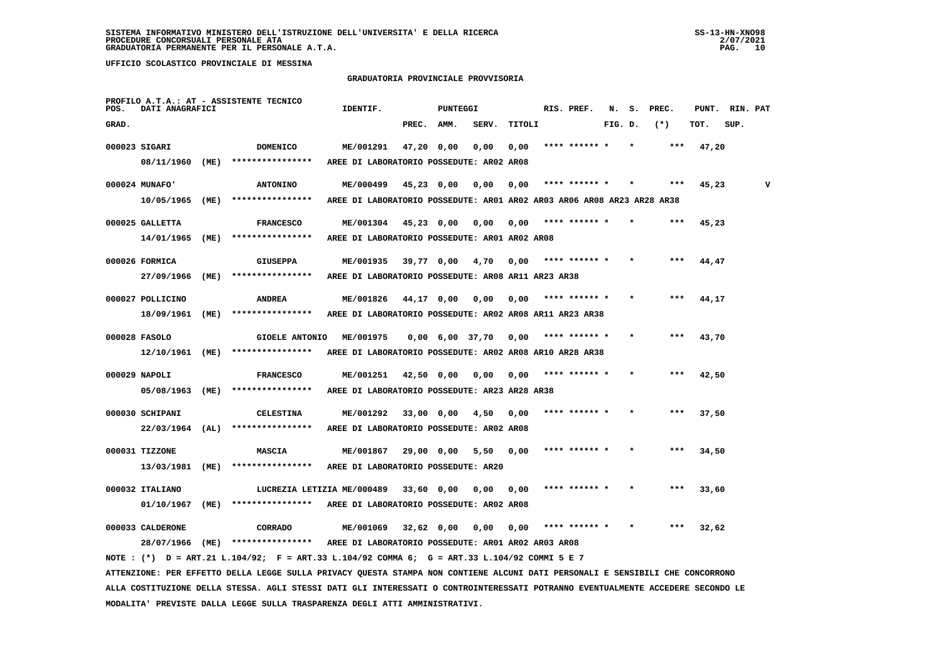**MODALITA' PREVISTE DALLA LEGGE SULLA TRASPARENZA DEGLI ATTI AMMINISTRATIVI.**

 **UFFICIO SCOLASTICO PROVINCIALE DI MESSINA**

#### **GRADUATORIA PROVINCIALE PROVVISORIA**

| POS.  | DATI ANAGRAFICI   |      | PROFILO A.T.A.: AT - ASSISTENTE TECNICO                                                                                         | IDENTIF.                                                               |            | <b>PUNTEGGI</b>   |       |        | RIS. PREF.    | N.      | s. | PREC.  | PUNT. | RIN. PAT |   |
|-------|-------------------|------|---------------------------------------------------------------------------------------------------------------------------------|------------------------------------------------------------------------|------------|-------------------|-------|--------|---------------|---------|----|--------|-------|----------|---|
| GRAD. |                   |      |                                                                                                                                 |                                                                        | PREC.      | AMM.              | SERV. | TITOLI |               | FIG. D. |    | $(* )$ | TOT.  | SUP.     |   |
|       | 000023 SIGARI     |      | <b>DOMENICO</b>                                                                                                                 | ME/001291                                                              |            | $47,20$ 0,00      | 0,00  | 0,00   | **** ****** * |         |    |        | 47,20 |          |   |
|       | 08/11/1960        | (ME) | ****************                                                                                                                | AREE DI LABORATORIO POSSEDUTE: AR02 AR08                               |            |                   |       |        |               |         |    |        |       |          |   |
|       |                   |      |                                                                                                                                 |                                                                        |            |                   |       |        |               |         |    |        |       |          |   |
|       | 000024 MUNAFO'    |      | <b>ANTONINO</b>                                                                                                                 | ME/000499                                                              |            | $45,23$ 0,00      | 0,00  | 0,00   | **** ****** * |         |    |        | 45,23 |          | v |
|       | 10/05/1965 (ME)   |      | ****************                                                                                                                | AREE DI LABORATORIO POSSEDUTE: AR01 AR02 AR03 AR06 AR08 AR23 AR28 AR38 |            |                   |       |        |               |         |    |        |       |          |   |
|       | 000025 GALLETTA   |      | <b>FRANCESCO</b>                                                                                                                | ME/001304                                                              | 45,23 0,00 |                   | 0,00  | 0,00   | **** ****** * |         |    |        | 45,23 |          |   |
|       | 14/01/1965        | (ME) | ****************                                                                                                                | AREE DI LABORATORIO POSSEDUTE: AR01 AR02 AR08                          |            |                   |       |        |               |         |    |        |       |          |   |
|       | 000026 FORMICA    |      | GIUSEPPA                                                                                                                        | ME/001935                                                              |            | 39,77 0,00        | 4,70  | 0,00   |               |         |    |        | 44,47 |          |   |
|       | 27/09/1966        | (ME) | ****************                                                                                                                | AREE DI LABORATORIO POSSEDUTE: AR08 AR11 AR23 AR38                     |            |                   |       |        |               |         |    |        |       |          |   |
|       |                   |      |                                                                                                                                 |                                                                        |            |                   |       |        |               |         |    |        |       |          |   |
|       | 000027 POLLICINO  |      | <b>ANDREA</b>                                                                                                                   | ME/001826                                                              |            | 44,17 0,00        | 0,00  | 0,00   | **** ****** * |         |    |        | 44,17 |          |   |
|       | 18/09/1961        | (ME) | ****************                                                                                                                | AREE DI LABORATORIO POSSEDUTE: AR02 AR08 AR11 AR23 AR38                |            |                   |       |        |               |         |    |        |       |          |   |
|       | 000028 FASOLO     |      | <b>GIOELE ANTONIO</b>                                                                                                           | ME/001975                                                              |            | $0,00$ 6,00 37,70 |       | 0,00   |               |         |    |        | 43,70 |          |   |
|       | 12/10/1961 (ME)   |      | ****************                                                                                                                | AREE DI LABORATORIO POSSEDUTE: AR02 AR08 AR10 AR28 AR38                |            |                   |       |        |               |         |    |        |       |          |   |
|       |                   |      |                                                                                                                                 |                                                                        |            |                   |       |        |               |         |    |        |       |          |   |
|       | 000029 NAPOLI     |      | <b>FRANCESCO</b>                                                                                                                | ME/001251                                                              |            | 42,50 0,00        | 0,00  | 0,00   | **** ****** * |         |    |        | 42,50 |          |   |
|       | 05/08/1963        | (ME) | ****************                                                                                                                | AREE DI LABORATORIO POSSEDUTE: AR23 AR28 AR38                          |            |                   |       |        |               |         |    |        |       |          |   |
|       | 000030 SCHIPANI   |      | <b>CELESTINA</b>                                                                                                                | ME/001292                                                              |            | 33,00 0,00        | 4,50  | 0,00   |               |         |    |        | 37,50 |          |   |
|       | $22/03/1964$ (AL) |      | ****************                                                                                                                | AREE DI LABORATORIO POSSEDUTE: AR02 AR08                               |            |                   |       |        |               |         |    |        |       |          |   |
|       |                   |      |                                                                                                                                 |                                                                        |            |                   |       |        |               |         |    |        |       |          |   |
|       | 000031 TIZZONE    |      | <b>MASCIA</b>                                                                                                                   | ME/001867                                                              |            | 29,00 0,00        | 5,50  | 0,00   |               |         |    |        | 34,50 |          |   |
|       | 13/03/1981 (ME)   |      | ****************                                                                                                                | AREE DI LABORATORIO POSSEDUTE: AR20                                    |            |                   |       |        |               |         |    |        |       |          |   |
|       | 000032 ITALIANO   |      | LUCREZIA LETIZIA ME/000489                                                                                                      |                                                                        | 33,60 0,00 |                   | 0.00  | 0.00   |               |         |    |        | 33,60 |          |   |
|       | 01/10/1967        | (ME) | ****************                                                                                                                | AREE DI LABORATORIO POSSEDUTE: AR02 AR08                               |            |                   |       |        |               |         |    |        |       |          |   |
|       | 000033 CALDERONE  |      | CORRADO                                                                                                                         | ME/001069                                                              | 32,62 0,00 |                   | 0,00  | 0,00   | **** ****** * |         |    | ***    | 32,62 |          |   |
|       | 28/07/1966 (ME)   |      | ****************                                                                                                                | AREE DI LABORATORIO POSSEDUTE: AR01 AR02 AR03 AR08                     |            |                   |       |        |               |         |    |        |       |          |   |
|       |                   |      | NOTE: (*) D = ART.21 L.104/92; F = ART.33 L.104/92 COMMA 6; G = ART.33 L.104/92 COMMI 5 E 7                                     |                                                                        |            |                   |       |        |               |         |    |        |       |          |   |
|       |                   |      | ATTENZIONE: PER EFFETTO DELLA LEGGE SULLA PRIVACY QUESTA STAMPA NON CONTIENE ALCUNI DATI PERSONALI E SENSIBILI CHE CONCORRONO   |                                                                        |            |                   |       |        |               |         |    |        |       |          |   |
|       |                   |      | ALLA COSTITUZIONE DELLA STESSA. AGLI STESSI DATI GLI INTERESSATI O CONTROINTERESSATI POTRANNO EVENTUALMENTE ACCEDERE SECONDO LE |                                                                        |            |                   |       |        |               |         |    |        |       |          |   |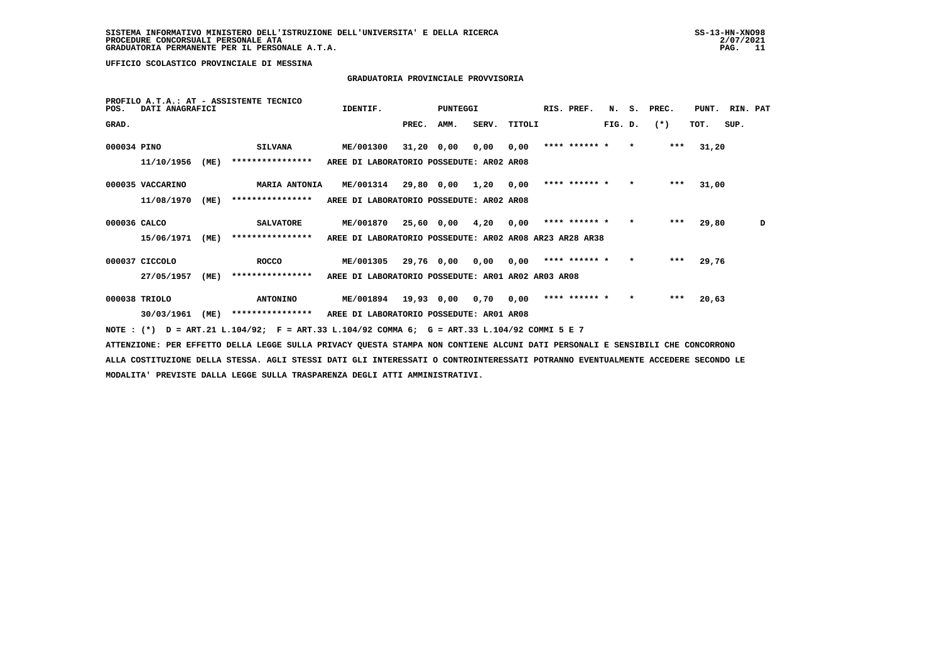## **GRADUATORIA PROVINCIALE PROVVISORIA**

| POS.         | DATI ANAGRAFICI  |      | PROFILO A.T.A.: AT - ASSISTENTE TECNICO                                                     | IDENTIF.                                                |       | PUNTEGGI     |                      |        | RIS. PREF.    |         |         | N. S. PREC. | PUNT. | RIN. PAT |   |
|--------------|------------------|------|---------------------------------------------------------------------------------------------|---------------------------------------------------------|-------|--------------|----------------------|--------|---------------|---------|---------|-------------|-------|----------|---|
| GRAD.        |                  |      |                                                                                             |                                                         | PREC. | AMM.         | SERV.                | TITOLI |               | FIG. D. |         | $(* )$      | TOT.  | SUP.     |   |
| 000034 PINO  |                  |      | <b>SILVANA</b>                                                                              | <b>ME/001300</b>                                        |       | $31,20$ 0,00 | 0,00                 | 0,00   | **** ****** * |         | $\star$ | ***         | 31,20 |          |   |
|              | 11/10/1956       | (ME) | ****************                                                                            | AREE DI LABORATORIO POSSEDUTE: AR02 AR08                |       |              |                      |        |               |         |         |             |       |          |   |
|              | 000035 VACCARINO |      | MARIA ANTONIA                                                                               | <b>ME/001314</b>                                        |       |              | 29,80 0,00 1,20 0,00 |        | **** ****** * |         | $\star$ | $***$       | 31,00 |          |   |
|              | 11/08/1970       | (ME) | ****************                                                                            | AREE DI LABORATORIO POSSEDUTE: AR02 AR08                |       |              |                      |        |               |         |         |             |       |          |   |
| 000036 CALCO |                  |      | <b>SALVATORE</b>                                                                            | ME/001870                                               |       |              | 25,60 0,00 4,20 0,00 |        | **** ****** * |         | $\star$ | ***         | 29,80 |          | D |
|              | 15/06/1971       | (ME) | ****************                                                                            | AREE DI LABORATORIO POSSEDUTE: AR02 AR08 AR23 AR28 AR38 |       |              |                      |        |               |         |         |             |       |          |   |
|              | 000037 CICCOLO   |      | ROCCO                                                                                       | <b>ME/001305</b>                                        |       |              | 29,76 0,00 0,00 0,00 |        | **** ****** * |         | $\star$ | $***$       | 29,76 |          |   |
|              | 27/05/1957       | (ME) | ****************                                                                            | AREE DI LABORATORIO POSSEDUTE: AR01 AR02 AR03 AR08      |       |              |                      |        |               |         |         |             |       |          |   |
|              | 000038 TRIOLO    |      | <b>ANTONINO</b>                                                                             | ME/001894 19,93 0,00 0,70 0,00                          |       |              |                      |        | **** ****** * |         | $\star$ | $***$       | 20,63 |          |   |
|              | 30/03/1961       | (ME) | ****************                                                                            | AREE DI LABORATORIO POSSEDUTE: AR01 AR08                |       |              |                      |        |               |         |         |             |       |          |   |
|              |                  |      | NOTE: (*) D = ART.21 L.104/92; F = ART.33 L.104/92 COMMA 6; G = ART.33 L.104/92 COMMI 5 E 7 |                                                         |       |              |                      |        |               |         |         |             |       |          |   |

 **ATTENZIONE: PER EFFETTO DELLA LEGGE SULLA PRIVACY QUESTA STAMPA NON CONTIENE ALCUNI DATI PERSONALI E SENSIBILI CHE CONCORRONO ALLA COSTITUZIONE DELLA STESSA. AGLI STESSI DATI GLI INTERESSATI O CONTROINTERESSATI POTRANNO EVENTUALMENTE ACCEDERE SECONDO LE MODALITA' PREVISTE DALLA LEGGE SULLA TRASPARENZA DEGLI ATTI AMMINISTRATIVI.**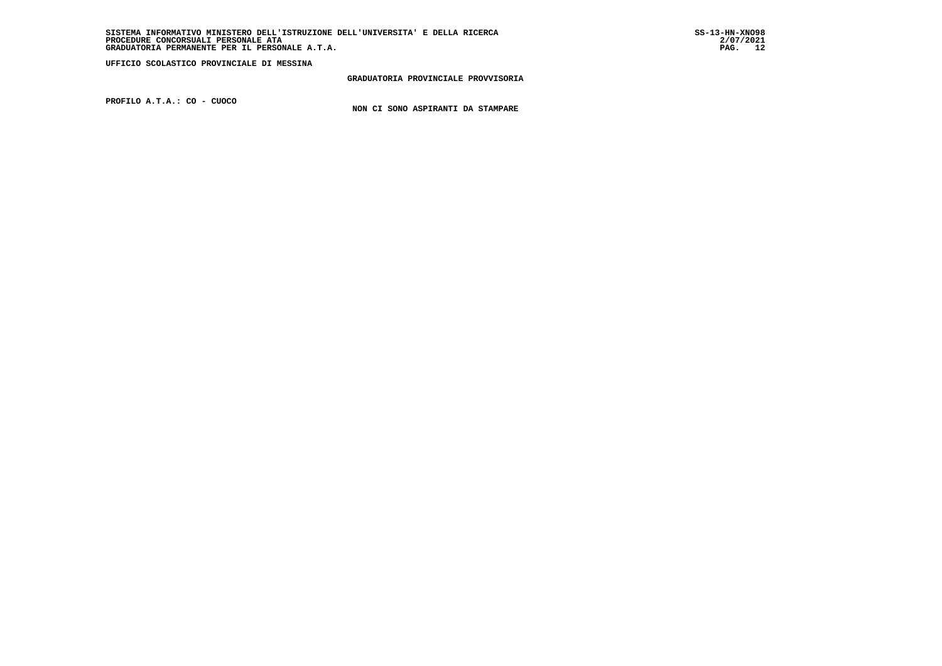**GRADUATORIA PROVINCIALE PROVVISORIA**

 **PROFILO A.T.A.: CO - CUOCO**

 **NON CI SONO ASPIRANTI DA STAMPARE**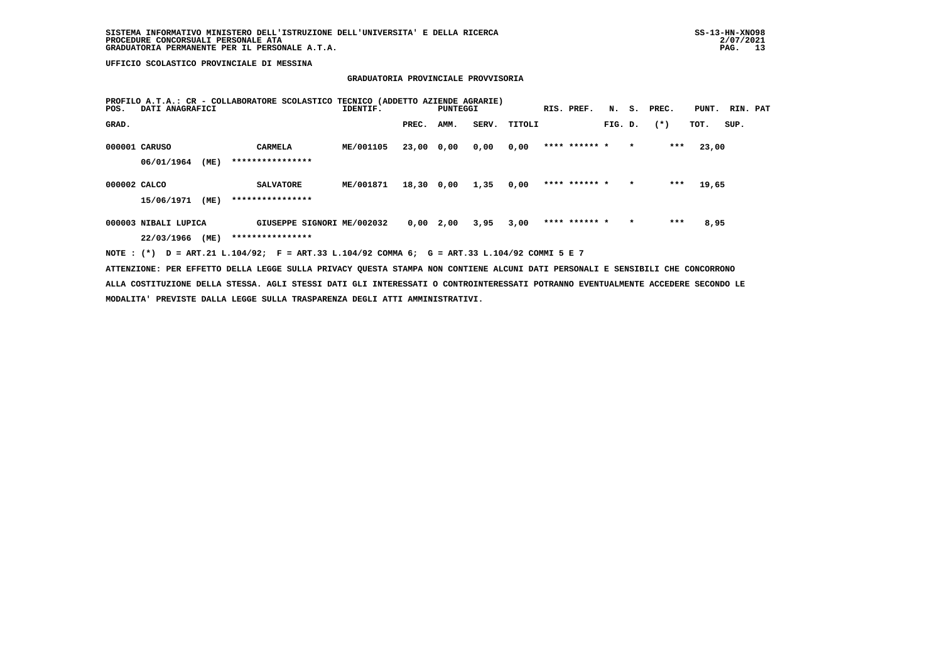## **GRADUATORIA PROVINCIALE PROVVISORIA**

| POS.         | DATI ANAGRAFICI      |      | PROFILO A.T.A.: CR - COLLABORATORE SCOLASTICO TECNICO (ADDETTO AZIENDE AGRARIE) | IDENTIF.  |       | PUNTEGGI    |       |        | RIS. PREF.    |         |         | N. S. PREC. | PUNT. | RIN. PAT |  |
|--------------|----------------------|------|---------------------------------------------------------------------------------|-----------|-------|-------------|-------|--------|---------------|---------|---------|-------------|-------|----------|--|
| GRAD.        |                      |      |                                                                                 |           | PREC. | AMM.        | SERV. | TITOLI |               | FIG. D. |         | $(*)$       | TOT.  | SUP.     |  |
|              | 000001 CARUSO        |      | <b>CARMELA</b>                                                                  | ME/001105 | 23,00 | 0,00        | 0,00  | 0,00   | **** ****** * |         | $\star$ | ***         | 23,00 |          |  |
|              | 06/01/1964           | (ME) | ****************                                                                |           |       |             |       |        |               |         |         |             |       |          |  |
| 000002 CALCO |                      |      | <b>SALVATORE</b>                                                                | ME/001871 | 18,30 | 0,00        | 1,35  | 0,00   | **** ****** * |         | $\star$ | $***$       | 19,65 |          |  |
|              | 15/06/1971           | (ME) | ****************                                                                |           |       |             |       |        |               |         |         |             |       |          |  |
|              | 000003 NIBALI LUPICA |      | GIUSEPPE SIGNORI ME/002032                                                      |           |       | $0,00$ 2,00 | 3,95  | 3,00   | **** ****** * |         | $\star$ | ***         | 8,95  |          |  |
|              | 22/03/1966           | (ME) | ****************                                                                |           |       |             |       |        |               |         |         |             |       |          |  |

 **NOTE : (\*) D = ART.21 L.104/92; F = ART.33 L.104/92 COMMA 6; G = ART.33 L.104/92 COMMI 5 E 7**

 **ATTENZIONE: PER EFFETTO DELLA LEGGE SULLA PRIVACY QUESTA STAMPA NON CONTIENE ALCUNI DATI PERSONALI E SENSIBILI CHE CONCORRONO ALLA COSTITUZIONE DELLA STESSA. AGLI STESSI DATI GLI INTERESSATI O CONTROINTERESSATI POTRANNO EVENTUALMENTE ACCEDERE SECONDO LE MODALITA' PREVISTE DALLA LEGGE SULLA TRASPARENZA DEGLI ATTI AMMINISTRATIVI.**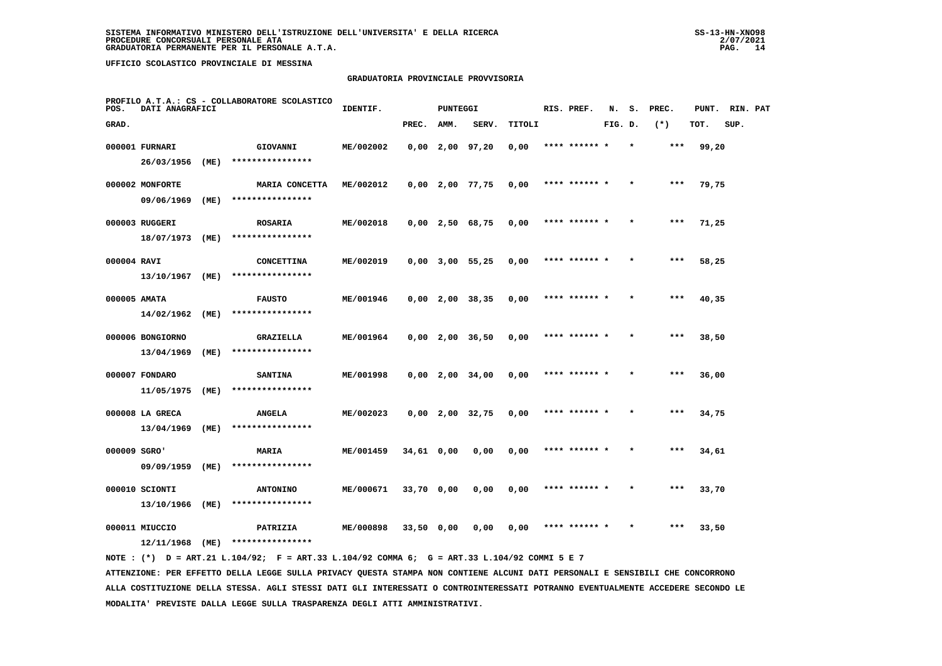## **GRADUATORIA PROVINCIALE PROVVISORIA**

| POS.         | DATI ANAGRAFICI  |      | PROFILO A.T.A.: CS - COLLABORATORE SCOLASTICO | IDENTIF.  |              | <b>PUNTEGGI</b> |                   |        | RIS. PREF.    | N.      | s. | PREC. | PUNT. | RIN. PAT |  |
|--------------|------------------|------|-----------------------------------------------|-----------|--------------|-----------------|-------------------|--------|---------------|---------|----|-------|-------|----------|--|
| GRAD.        |                  |      |                                               |           | PREC.        | AMM.            | SERV.             | TITOLI |               | FIG. D. |    | $(*)$ | TOT.  | SUP.     |  |
|              | 000001 FURNARI   |      | GIOVANNI                                      | ME/002002 |              |                 | $0,00$ 2,00 97,20 | 0,00   | **** ****** * |         |    | $***$ | 99,20 |          |  |
|              | 26/03/1956       | (ME) | ****************                              |           |              |                 |                   |        |               |         |    |       |       |          |  |
|              | 000002 MONFORTE  |      | MARIA CONCETTA                                | ME/002012 |              |                 | $0,00$ 2,00 77,75 | 0,00   | **** ****** * |         |    | ***   | 79,75 |          |  |
|              | 09/06/1969       | (ME) | ****************                              |           |              |                 |                   |        |               |         |    |       |       |          |  |
|              | 000003 RUGGERI   |      | <b>ROSARIA</b>                                | ME/002018 |              |                 | $0,00$ 2,50 68,75 | 0,00   | **** ****** * |         |    | $***$ | 71,25 |          |  |
|              | 18/07/1973       | (ME) | ****************                              |           |              |                 |                   |        |               |         |    |       |       |          |  |
| 000004 RAVI  |                  |      | CONCETTINA                                    | ME/002019 |              |                 | $0,00$ 3,00 55,25 | 0,00   | **** ****** * |         |    | $***$ | 58,25 |          |  |
|              | 13/10/1967       | (ME) | ****************                              |           |              |                 |                   |        |               |         |    |       |       |          |  |
| 000005 AMATA |                  |      | <b>FAUSTO</b>                                 | ME/001946 |              |                 | $0,00$ 2,00 38,35 | 0,00   | **** ****** * |         |    | $***$ | 40,35 |          |  |
|              | 14/02/1962       | (ME) | ****************                              |           |              |                 |                   |        |               |         |    |       |       |          |  |
|              | 000006 BONGIORNO |      | GRAZIELLA                                     | ME/001964 |              |                 | $0,00$ 2,00 36,50 | 0,00   |               |         |    | ***   | 38,50 |          |  |
|              | 13/04/1969       | (ME) | ****************                              |           |              |                 |                   |        |               |         |    |       |       |          |  |
|              | 000007 FONDARO   |      | <b>SANTINA</b>                                | ME/001998 |              |                 | $0,00$ 2,00 34,00 | 0,00   | **** ****** * |         |    | ***   | 36,00 |          |  |
|              | 11/05/1975       | (ME) | ****************                              |           |              |                 |                   |        |               |         |    |       |       |          |  |
|              | 000008 LA GRECA  |      | <b>ANGELA</b>                                 | ME/002023 |              |                 | $0,00$ 2,00 32,75 | 0,00   | **** ****** * |         |    | ***   | 34,75 |          |  |
|              | 13/04/1969       | (ME) | ****************                              |           |              |                 |                   |        |               |         |    |       |       |          |  |
| 000009 SGRO' |                  |      | MARIA                                         | ME/001459 | $34,61$ 0,00 |                 | 0,00              | 0,00   | **** ****** * |         |    | ***   | 34,61 |          |  |
|              | 09/09/1959       | (ME) | ****************                              |           |              |                 |                   |        |               |         |    |       |       |          |  |
|              | 000010 SCIONTI   |      | <b>ANTONINO</b>                               | ME/000671 | 33,70 0,00   |                 | 0,00              | 0,00   | **** ****** * |         |    | $***$ | 33,70 |          |  |
|              | 13/10/1966       | (ME) | ****************                              |           |              |                 |                   |        |               |         |    |       |       |          |  |
|              | 000011 MIUCCIO   |      | PATRIZIA                                      | ME/000898 | $33,50$ 0,00 |                 | 0.00              | 0,00   | **** ****** * |         |    | ***   | 33,50 |          |  |
|              | 12/11/1968       | (ME) | ****************                              |           |              |                 |                   |        |               |         |    |       |       |          |  |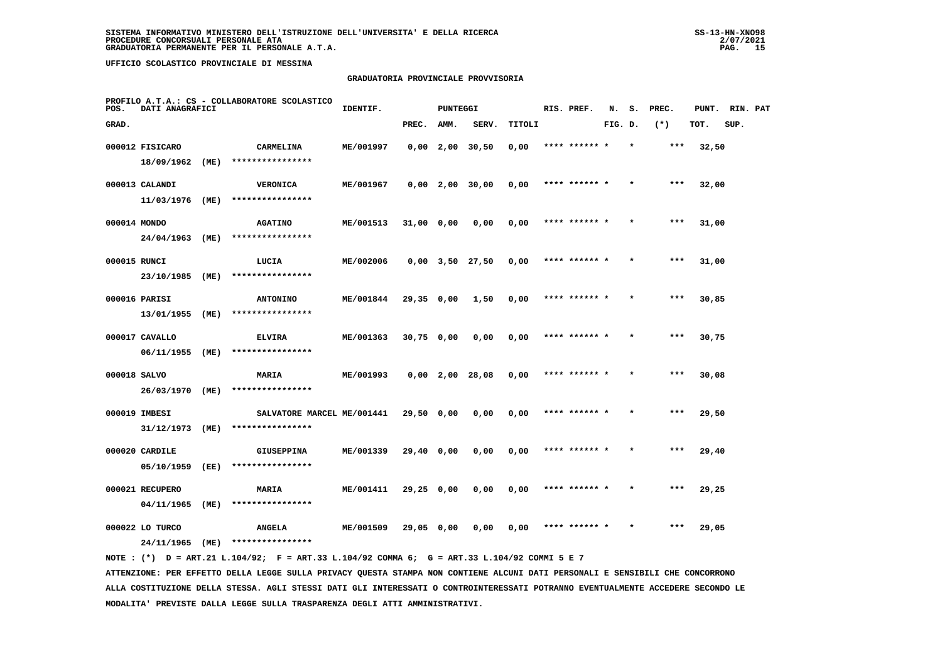#### **GRADUATORIA PROVINCIALE PROVVISORIA**

| POS.         | DATI ANAGRAFICI                  |      | PROFILO A.T.A.: CS - COLLABORATORE SCOLASTICO  | IDENTIF.  |              | <b>PUNTEGGI</b> |                       |        | RIS. PREF.    | N.      | s.      | PREC. | PUNT. | RIN. PAT |  |
|--------------|----------------------------------|------|------------------------------------------------|-----------|--------------|-----------------|-----------------------|--------|---------------|---------|---------|-------|-------|----------|--|
| GRAD.        |                                  |      |                                                |           | PREC.        | AMM.            | SERV.                 | TITOLI |               | FIG. D. |         | $(*)$ | TOT.  | SUP.     |  |
|              | 000012 FISICARO                  |      | CARMELINA                                      | ME/001997 |              |                 | $0,00$ 2,00 30,50     | 0,00   | **** ****** * |         | $\star$ | ***   | 32,50 |          |  |
|              | 18/09/1962                       | (ME) | ****************                               |           |              |                 |                       |        |               |         |         |       |       |          |  |
|              | 000013 CALANDI                   |      | <b>VERONICA</b>                                | ME/001967 |              |                 | $0,00$ 2,00 30,00     | 0,00   | **** ******   |         |         | ***   | 32,00 |          |  |
|              | 11/03/1976 (ME)                  |      | ****************                               |           |              |                 |                       |        |               |         |         |       |       |          |  |
| 000014 MONDO |                                  |      | <b>AGATINO</b>                                 | ME/001513 | 31,00 0,00   |                 | 0,00                  | 0,00   | **** ****** * |         |         | $***$ | 31,00 |          |  |
|              | 24/04/1963                       | (ME) | ****************                               |           |              |                 |                       |        |               |         |         |       |       |          |  |
| 000015 RUNCI |                                  |      | LUCIA                                          | ME/002006 |              |                 | $0,00$ $3,50$ $27,50$ | 0,00   | **** ****** * |         | $\star$ | $***$ | 31,00 |          |  |
|              | 23/10/1985                       | (ME) | ****************                               |           |              |                 |                       |        |               |         |         |       |       |          |  |
|              | 000016 PARISI                    |      | <b>ANTONINO</b>                                | ME/001844 | 29,35 0,00   |                 | 1,50                  | 0,00   | **** ****** * |         |         | ***   | 30,85 |          |  |
|              | 13/01/1955 (ME)                  |      | ****************                               |           |              |                 |                       |        |               |         |         |       |       |          |  |
|              | 000017 CAVALLO                   |      | <b>ELVIRA</b>                                  | ME/001363 | $30,75$ 0,00 |                 | 0,00                  | 0,00   | **** ****** * |         |         | $***$ | 30,75 |          |  |
|              | 06/11/1955 (ME)                  |      | ****************                               |           |              |                 |                       |        |               |         |         |       |       |          |  |
| 000018 SALVO | 26/03/1970 (ME)                  |      | <b>MARIA</b><br>****************               | ME/001993 |              |                 | $0,00$ 2,00 28,08     | 0,00   | **** ****** * |         |         | ***   | 30,08 |          |  |
|              |                                  |      |                                                |           |              |                 |                       |        |               |         |         |       |       |          |  |
|              | 000019 IMBESI<br>31/12/1973 (ME) |      | SALVATORE MARCEL ME/001441<br>**************** |           | 29,50 0,00   |                 | 0.00                  | 0,00   |               |         |         | ***   | 29,50 |          |  |
|              |                                  |      |                                                |           |              |                 |                       |        |               |         |         |       |       |          |  |
|              | 000020 CARDILE<br>05/10/1959     | (EE) | <b>GIUSEPPINA</b><br>****************          | ME/001339 | 29,40 0,00   |                 | 0,00                  | 0,00   | **** ****** * |         |         | ***   | 29,40 |          |  |
|              |                                  |      |                                                |           |              |                 |                       |        |               |         |         |       |       |          |  |
|              | 000021 RECUPERO<br>04/11/1965    | (ME) | <b>MARIA</b><br>****************               | ME/001411 | 29,25 0,00   |                 | 0,00                  | 0,00   | **** ****** * |         | $\star$ | $***$ | 29,25 |          |  |
|              | 000022 LO TURCO                  |      |                                                | ME/001509 |              |                 | 0,00                  | 0,00   | **** ****** * |         |         | ***   |       |          |  |
|              | 24/11/1965                       | (ME) | <b>ANGELA</b><br>****************              |           | 29,05 0,00   |                 |                       |        |               |         |         |       | 29,05 |          |  |
|              |                                  |      |                                                |           |              |                 |                       |        |               |         |         |       |       |          |  |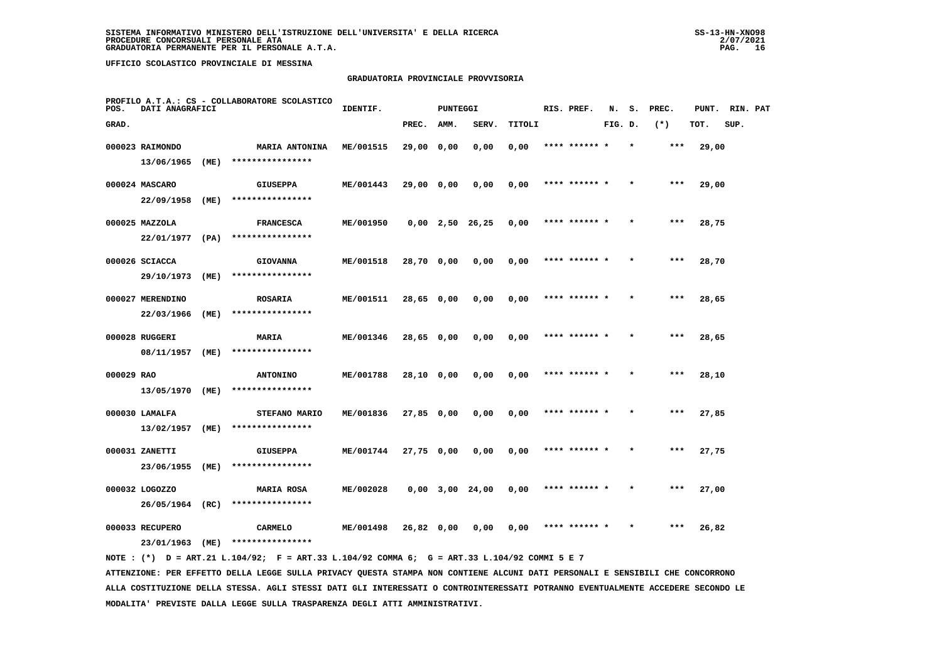#### **GRADUATORIA PROVINCIALE PROVVISORIA**

| POS.       | DATI ANAGRAFICI  |      | PROFILO A.T.A.: CS - COLLABORATORE SCOLASTICO | IDENTIF.  |            | <b>PUNTEGGI</b> |                   |        | RIS. PREF.    | N.      | s.      | PREC. | PUNT. | RIN. PAT |  |
|------------|------------------|------|-----------------------------------------------|-----------|------------|-----------------|-------------------|--------|---------------|---------|---------|-------|-------|----------|--|
| GRAD.      |                  |      |                                               |           | PREC.      | AMM.            | SERV.             | TITOLI |               | FIG. D. |         | $(*)$ | TOT.  | SUP.     |  |
|            | 000023 RAIMONDO  |      | <b>MARIA ANTONINA</b>                         | ME/001515 | 29,00 0,00 |                 | 0,00              | 0,00   | **** ****** * |         | $\star$ | ***   | 29,00 |          |  |
|            | 13/06/1965       | (ME) | ****************                              |           |            |                 |                   |        |               |         |         |       |       |          |  |
|            | 000024 MASCARO   |      | <b>GIUSEPPA</b>                               | ME/001443 | 29,00 0,00 |                 | 0,00              | 0,00   | **** ****** * |         |         | ***   | 29,00 |          |  |
|            | 22/09/1958       | (ME) | ****************                              |           |            |                 |                   |        |               |         |         |       |       |          |  |
|            | 000025 MAZZOLA   |      | <b>FRANCESCA</b>                              | ME/001950 |            |                 | $0,00$ 2,50 26,25 | 0,00   | **** ****** * |         |         | $***$ | 28,75 |          |  |
|            | 22/01/1977 (PA)  |      | ****************                              |           |            |                 |                   |        |               |         |         |       |       |          |  |
|            | 000026 SCIACCA   |      | <b>GIOVANNA</b>                               | ME/001518 | 28,70 0,00 |                 | 0,00              | 0,00   | **** ****** * |         |         | ***   | 28,70 |          |  |
|            | 29/10/1973       | (ME) | ****************                              |           |            |                 |                   |        |               |         |         |       |       |          |  |
|            | 000027 MERENDINO |      | <b>ROSARIA</b>                                | ME/001511 | 28,65 0,00 |                 | 0,00              | 0,00   | **** ****** * |         |         | $***$ | 28,65 |          |  |
|            | 22/03/1966       | (ME) | ****************                              |           |            |                 |                   |        |               |         |         |       |       |          |  |
|            | 000028 RUGGERI   |      | <b>MARIA</b>                                  | ME/001346 | 28,65 0,00 |                 | 0,00              | 0,00   | **** ****** * |         |         | ***   | 28,65 |          |  |
|            | 08/11/1957 (ME)  |      | ****************                              |           |            |                 |                   |        |               |         |         |       |       |          |  |
| 000029 RAO |                  |      | <b>ANTONINO</b>                               | ME/001788 | 28,10 0,00 |                 | 0,00              | 0,00   | **** ****** * |         |         | ***   | 28,10 |          |  |
|            | 13/05/1970 (ME)  |      | ****************                              |           |            |                 |                   |        |               |         |         |       |       |          |  |
|            | 000030 LAMALFA   |      | STEFANO MARIO                                 | ME/001836 | 27,85 0,00 |                 | 0,00              | 0,00   | **** ****** * |         |         | ***   | 27,85 |          |  |
|            | 13/02/1957       | (ME) | ****************                              |           |            |                 |                   |        |               |         |         |       |       |          |  |
|            | 000031 ZANETTI   |      | <b>GIUSEPPA</b>                               | ME/001744 | 27,75 0,00 |                 | 0,00              | 0,00   | **** ****** * |         |         | $***$ | 27,75 |          |  |
|            | 23/06/1955       | (ME) | ****************                              |           |            |                 |                   |        |               |         |         |       |       |          |  |
|            | 000032 LOGOZZO   |      | <b>MARIA ROSA</b><br>****************         | ME/002028 |            |                 | $0,00$ 3,00 24,00 | 0,00   | **** ****** * |         |         | ***   | 27,00 |          |  |
|            | 26/05/1964 (RC)  |      |                                               |           |            |                 |                   |        |               |         |         |       |       |          |  |
|            | 000033 RECUPERO  |      | <b>CARMELO</b>                                | ME/001498 | 26,82 0,00 |                 | 0,00              | 0,00   | **** ****** * |         |         | $***$ | 26,82 |          |  |
|            | 23/01/1963       | (ME) | ****************                              |           |            |                 |                   |        |               |         |         |       |       |          |  |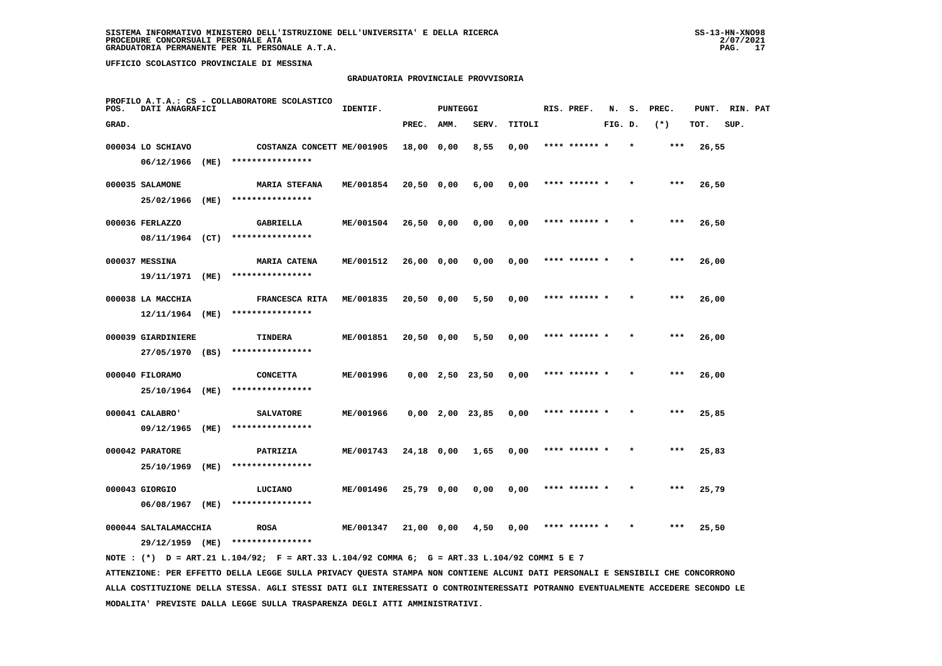## **GRADUATORIA PROVINCIALE PROVVISORIA**

| POS.  | DATI ANAGRAFICI                                        |      | PROFILO A.T.A.: CS - COLLABORATORE SCOLASTICO  | IDENTIF.  |              | <b>PUNTEGGI</b>   |       |        | RIS. PREF.    | N.      | s. | PREC. | PUNT. | RIN. PAT |  |
|-------|--------------------------------------------------------|------|------------------------------------------------|-----------|--------------|-------------------|-------|--------|---------------|---------|----|-------|-------|----------|--|
| GRAD. |                                                        |      |                                                |           | PREC.        | AMM.              | SERV. | TITOLI |               | FIG. D. |    | $(*)$ | TOT.  | SUP.     |  |
|       | 000034 LO SCHIAVO<br>06/12/1966                        | (ME) | COSTANZA CONCETT ME/001905<br>**************** |           | 18,00 0,00   |                   | 8,55  | 0,00   | **** ******   |         |    | ***   | 26,55 |          |  |
|       | 000035 SALAMONE<br>25/02/1966                          | (ME) | <b>MARIA STEFANA</b><br>****************       | ME/001854 | $20,50$ 0,00 |                   | 6,00  | 0,00   | **** ****** * |         |    | $***$ | 26,50 |          |  |
|       | 000036 FERLAZZO                                        |      | GABRIELLA<br>****************                  | ME/001504 | 26,50 0,00   |                   | 0,00  | 0,00   | **** ****** * |         |    | $***$ | 26,50 |          |  |
|       | 08/11/1964 (CT)<br>000037 MESSINA                      | (ME) | <b>MARIA CATENA</b><br>****************        | ME/001512 | 26,00 0,00   |                   | 0,00  | 0,00   | **** ****** * |         |    | ***   | 26,00 |          |  |
|       | 19/11/1971<br>000038 LA MACCHIA<br>12/11/1964          | (ME) | FRANCESCA RITA<br>****************             | ME/001835 | 20,50 0,00   |                   | 5,50  | 0,00   | **** ****** * |         |    | $***$ | 26,00 |          |  |
|       | 000039 GIARDINIERE<br>27/05/1970 (BS)                  |      | TINDERA<br>****************                    | ME/001851 | 20,50 0,00   |                   | 5,50  | 0,00   | **** ****** * |         |    | $***$ | 26,00 |          |  |
|       | 000040 FILORAMO<br>25/10/1964                          | (ME) | <b>CONCETTA</b><br>****************            | ME/001996 |              | $0,00$ 2,50 23,50 |       | 0,00   | **** ****** * |         |    | $***$ | 26,00 |          |  |
|       | 000041 CALABRO'<br>09/12/1965                          |      | <b>SALVATORE</b><br>****************           | ME/001966 |              | $0,00$ 2,00 23,85 |       | 0,00   | **** ******   |         |    | ***   | 25,85 |          |  |
|       | 000042 PARATORE                                        | (ME) | PATRIZIA<br>****************                   | ME/001743 | 24,18 0,00   |                   | 1,65  | 0,00   | **** ******   |         |    | ***   | 25,83 |          |  |
|       | 25/10/1969<br>000043 GIORGIO                           | (ME) | LUCIANO<br>****************                    | ME/001496 | 25,79 0,00   |                   | 0,00  | 0,00   | **** ****** * |         |    | $***$ | 25,79 |          |  |
|       | 06/08/1967<br>000044 SALTALAMACCHIA<br>29/12/1959 (ME) | (ME) | <b>ROSA</b><br>****************                | ME/001347 | 21,00 0,00   |                   | 4,50  | 0,00   | **** ****** * |         |    | ***   | 25,50 |          |  |
|       |                                                        |      |                                                |           |              |                   |       |        |               |         |    |       |       |          |  |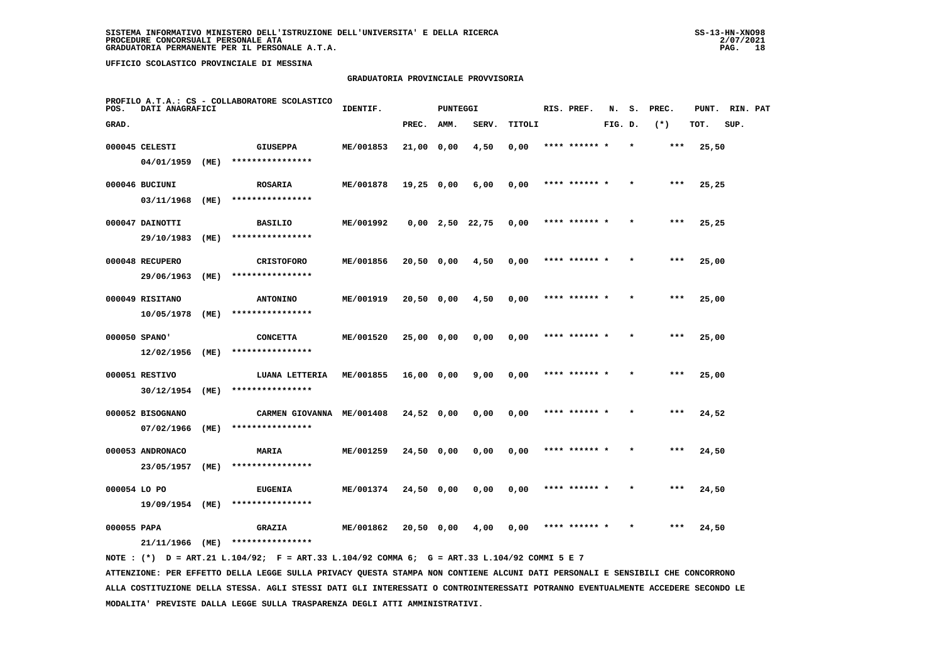## **GRADUATORIA PROVINCIALE PROVVISORIA**

| POS.        | DATI ANAGRAFICI                |      | PROFILO A.T.A.: CS - COLLABORATORE SCOLASTICO | IDENTIF.  |              | <b>PUNTEGGI</b> |                   |        | RIS. PREF.    | N.      | s.      | PREC. | PUNT. | RIN. PAT |  |
|-------------|--------------------------------|------|-----------------------------------------------|-----------|--------------|-----------------|-------------------|--------|---------------|---------|---------|-------|-------|----------|--|
| GRAD.       |                                |      |                                               |           | PREC.        | AMM.            | SERV.             | TITOLI |               | FIG. D. |         | $(*)$ | TOT.  | SUP.     |  |
|             | 000045 CELESTI                 |      | <b>GIUSEPPA</b>                               | ME/001853 | 21,00 0,00   |                 | 4,50              | 0,00   | **** ****** * |         | $\star$ | ***   | 25,50 |          |  |
|             | 04/01/1959                     | (ME) | ****************                              |           |              |                 |                   |        |               |         |         |       |       |          |  |
|             | 000046 BUCIUNI                 |      | <b>ROSARIA</b>                                | ME/001878 | 19,25 0,00   |                 | 6,00              | 0,00   | **** ****** * |         |         | $***$ | 25,25 |          |  |
|             | 03/11/1968                     | (ME) | ****************                              |           |              |                 |                   |        |               |         |         |       |       |          |  |
|             | 000047 DAINOTTI                |      | <b>BASILIO</b>                                | ME/001992 |              |                 | $0,00$ 2,50 22,75 | 0,00   | **** ****** * |         |         | $***$ | 25,25 |          |  |
|             | 29/10/1983                     | (ME) | ****************                              |           |              |                 |                   |        |               |         |         |       |       |          |  |
|             | 000048 RECUPERO                |      | <b>CRISTOFORO</b>                             | ME/001856 | 20,50 0,00   |                 | 4,50              | 0,00   | **** ****** * |         |         | ***   | 25,00 |          |  |
|             | 29/06/1963                     | (ME) | ****************                              |           |              |                 |                   |        |               |         |         |       |       |          |  |
|             | 000049 RISITANO                |      | <b>ANTONINO</b>                               | ME/001919 | 20,50 0,00   |                 | 4,50              | 0,00   | **** ****** * |         |         | $***$ | 25,00 |          |  |
|             | 10/05/1978                     | (ME) | ****************                              |           |              |                 |                   |        |               |         |         |       |       |          |  |
|             | 000050 SPANO'                  |      | <b>CONCETTA</b><br>****************           | ME/001520 | 25,00 0,00   |                 | 0,00              | 0,00   | **** ****** * |         |         | $***$ | 25,00 |          |  |
|             | 12/02/1956                     | (ME) |                                               |           |              |                 |                   |        |               |         |         |       |       |          |  |
|             | 000051 RESTIVO<br>30/12/1954   | (ME) | LUANA LETTERIA<br>****************            | ME/001855 | 16,00 0,00   |                 | 9,00              | 0,00   | **** ****** * |         |         | $***$ | 25,00 |          |  |
|             |                                |      |                                               |           |              |                 |                   |        |               |         |         |       |       |          |  |
|             | 000052 BISOGNANO<br>07/02/1966 | (ME) | CARMEN GIOVANNA ME/001408<br>**************** |           | $24,52$ 0,00 |                 | 0.00              | 0,00   |               |         |         | ***   | 24,52 |          |  |
|             |                                |      |                                               |           |              |                 |                   |        |               |         |         |       |       |          |  |
|             | 000053 ANDRONACO<br>23/05/1957 | (ME) | MARIA<br>****************                     | ME/001259 | 24,50 0,00   |                 | 0,00              | 0,00   | **** ****** * |         |         | $***$ | 24,50 |          |  |
|             |                                |      |                                               |           |              |                 |                   |        | **** ****** * |         | $\star$ | ***   |       |          |  |
|             | 000054 LO PO<br>19/09/1954     | (ME) | <b>EUGENIA</b><br>****************            | ME/001374 | $24,50$ 0,00 |                 | 0,00              | 0,00   |               |         |         |       | 24,50 |          |  |
| 000055 PAPA |                                |      | <b>GRAZIA</b>                                 | ME/001862 |              |                 | 4,00              | 0,00   | **** ****** * |         |         | ***   | 24,50 |          |  |
|             | 21/11/1966 (ME)                |      | ****************                              |           | 20,50 0,00   |                 |                   |        |               |         |         |       |       |          |  |
|             |                                |      |                                               |           |              |                 |                   |        |               |         |         |       |       |          |  |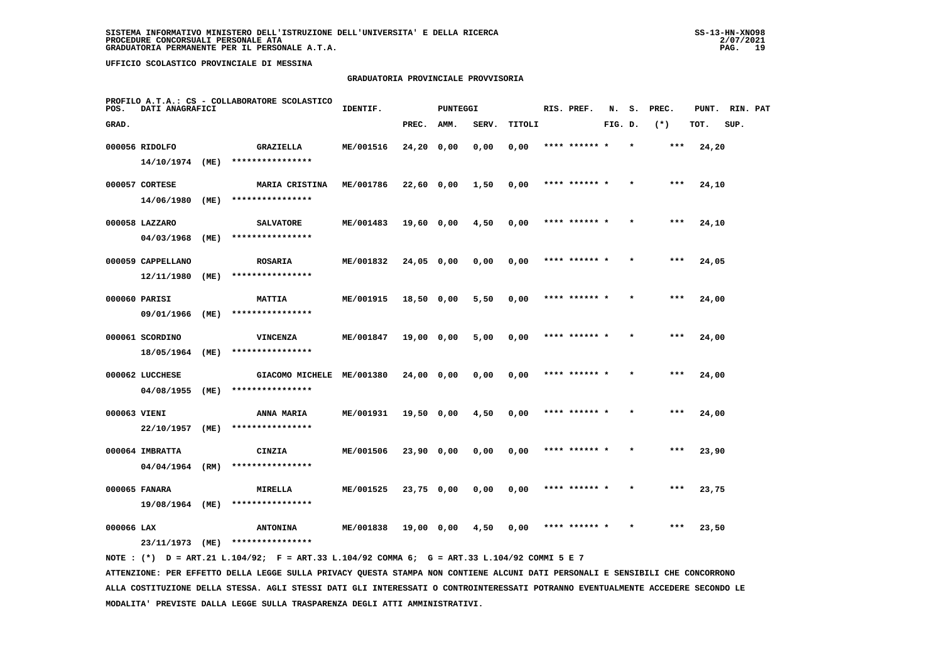## **GRADUATORIA PROVINCIALE PROVVISORIA**

| POS.         | DATI ANAGRAFICI   |      | PROFILO A.T.A.: CS - COLLABORATORE SCOLASTICO | IDENTIF.  |              | <b>PUNTEGGI</b> |       |        | RIS. PREF.    | N.      | s.      | PREC. | PUNT. | RIN. PAT |  |
|--------------|-------------------|------|-----------------------------------------------|-----------|--------------|-----------------|-------|--------|---------------|---------|---------|-------|-------|----------|--|
| GRAD.        |                   |      |                                               |           | PREC.        | AMM.            | SERV. | TITOLI |               | FIG. D. |         | $(*)$ | TOT.  | SUP.     |  |
|              | 000056 RIDOLFO    |      | GRAZIELLA                                     | ME/001516 | 24,20 0,00   |                 | 0,00  | 0,00   | **** ****** * |         | $\star$ | ***   | 24,20 |          |  |
|              | 14/10/1974 (ME)   |      | ****************                              |           |              |                 |       |        |               |         |         |       |       |          |  |
|              | 000057 CORTESE    |      | <b>MARIA CRISTINA</b>                         | ME/001786 | 22,60 0,00   |                 | 1,50  | 0,00   | **** ****** * |         |         | $***$ | 24,10 |          |  |
|              | 14/06/1980        | (ME) | ****************                              |           |              |                 |       |        |               |         |         |       |       |          |  |
|              | 000058 LAZZARO    |      | <b>SALVATORE</b>                              | ME/001483 | 19,60 0,00   |                 | 4,50  | 0,00   | **** ****** * |         |         | $***$ | 24,10 |          |  |
|              | 04/03/1968        | (ME) | ****************                              |           |              |                 |       |        |               |         |         |       |       |          |  |
|              | 000059 CAPPELLANO |      | <b>ROSARIA</b>                                | ME/001832 | $24,05$ 0,00 |                 | 0,00  | 0,00   | **** ****** * |         |         | ***   | 24,05 |          |  |
|              | 12/11/1980        | (ME) | ****************                              |           |              |                 |       |        |               |         |         |       |       |          |  |
|              | 000060 PARISI     |      | <b>MATTIA</b>                                 | ME/001915 | $18,50$ 0,00 |                 | 5,50  | 0,00   | **** ****** * |         |         | $***$ | 24,00 |          |  |
|              | 09/01/1966        | (ME) | ****************                              |           |              |                 |       |        |               |         |         |       |       |          |  |
|              | 000061 SCORDINO   |      | <b>VINCENZA</b>                               | ME/001847 | 19,00 0,00   |                 | 5,00  | 0,00   | **** ****** * |         |         | $***$ | 24,00 |          |  |
|              | 18/05/1964        | (ME) | ****************                              |           |              |                 |       |        |               |         |         |       |       |          |  |
|              | 000062 LUCCHESE   |      | GIACOMO MICHELE ME/001380                     |           | 24,00 0,00   |                 | 0,00  | 0,00   | **** ****** * |         |         | ***   | 24,00 |          |  |
|              | 04/08/1955        | (ME) | ****************                              |           |              |                 |       |        |               |         |         |       |       |          |  |
| 000063 VIENI |                   |      | <b>ANNA MARIA</b>                             | ME/001931 | 19,50 0,00   |                 | 4,50  | 0,00   | **** ****** * |         |         | ***   | 24,00 |          |  |
|              | 22/10/1957        | (ME) | ****************                              |           |              |                 |       |        |               |         |         |       |       |          |  |
|              | 000064 IMBRATTA   |      | CINZIA                                        | ME/001506 | 23,90 0,00   |                 | 0,00  | 0,00   | **** ****** * |         |         | $***$ | 23,90 |          |  |
|              | 04/04/1964 (RM)   |      | ****************                              |           |              |                 |       |        |               |         |         |       |       |          |  |
|              | 000065 FANARA     |      | MIRELLA                                       | ME/001525 | 23,75 0,00   |                 | 0,00  | 0,00   | **** ****** * |         |         | ***   | 23,75 |          |  |
|              | 19/08/1964 (ME)   |      | ****************                              |           |              |                 |       |        |               |         |         |       |       |          |  |
| 000066 LAX   |                   |      | <b>ANTONINA</b>                               | ME/001838 | 19,00 0,00   |                 | 4,50  | 0,00   |               |         |         | ***   | 23,50 |          |  |
|              | 23/11/1973 (ME)   |      | ****************                              |           |              |                 |       |        |               |         |         |       |       |          |  |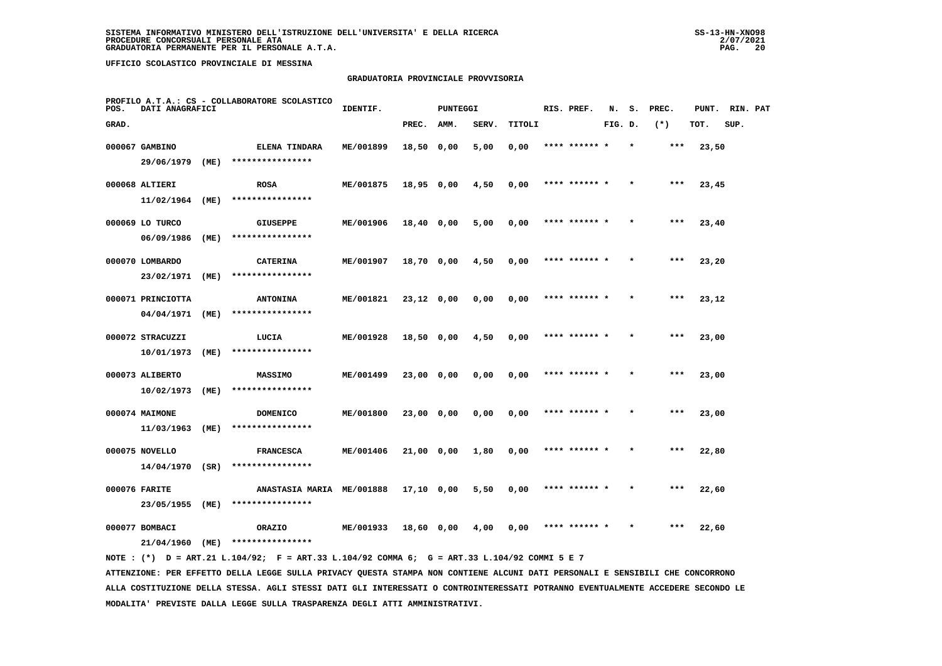#### **GRADUATORIA PROVINCIALE PROVVISORIA**

| POS.  | DATI ANAGRAFICI   |      | PROFILO A.T.A.: CS - COLLABORATORE SCOLASTICO | IDENTIF.  |              | <b>PUNTEGGI</b> |       |        | RIS. PREF.    | N.      | s.      | PREC. | PUNT. | RIN. PAT |  |
|-------|-------------------|------|-----------------------------------------------|-----------|--------------|-----------------|-------|--------|---------------|---------|---------|-------|-------|----------|--|
| GRAD. |                   |      |                                               |           | PREC.        | AMM.            | SERV. | TITOLI |               | FIG. D. |         | $(*)$ | TOT.  | SUP.     |  |
|       | 000067 GAMBINO    |      | <b>ELENA TINDARA</b>                          | ME/001899 | 18,50 0,00   |                 | 5,00  | 0,00   | **** ****** * |         | $\star$ | $***$ | 23,50 |          |  |
|       | 29/06/1979        | (ME) | ****************                              |           |              |                 |       |        |               |         |         |       |       |          |  |
|       | 000068 ALTIERI    |      | <b>ROSA</b>                                   | ME/001875 | $18,95$ 0,00 |                 | 4,50  | 0,00   | **** ****** * |         |         | $***$ | 23,45 |          |  |
|       | 11/02/1964 (ME)   |      | ****************                              |           |              |                 |       |        |               |         |         |       |       |          |  |
|       | 000069 LO TURCO   |      | GIUSEPPE                                      | ME/001906 | 18,40 0,00   |                 | 5,00  | 0,00   | **** ****** * |         |         | $***$ | 23,40 |          |  |
|       | 06/09/1986        | (ME) | ****************                              |           |              |                 |       |        |               |         |         |       |       |          |  |
|       | 000070 LOMBARDO   |      | <b>CATERINA</b>                               | ME/001907 | 18,70 0,00   |                 | 4,50  | 0,00   | **** ****** * |         |         | $***$ | 23,20 |          |  |
|       | 23/02/1971        | (ME) | ****************                              |           |              |                 |       |        |               |         |         |       |       |          |  |
|       | 000071 PRINCIOTTA |      | <b>ANTONINA</b>                               | ME/001821 | $23,12$ 0,00 |                 | 0,00  | 0,00   | **** ****** * |         |         | $***$ | 23,12 |          |  |
|       | 04/04/1971        | (ME) | ****************                              |           |              |                 |       |        |               |         |         |       |       |          |  |
|       | 000072 STRACUZZI  |      | LUCIA                                         | ME/001928 | 18,50 0,00   |                 | 4,50  | 0,00   | **** ****** * |         | $\star$ | $***$ | 23,00 |          |  |
|       | 10/01/1973        | (ME) | ****************                              |           |              |                 |       |        |               |         |         |       |       |          |  |
|       | 000073 ALIBERTO   |      | MASSIMO                                       | ME/001499 | 23,00 0,00   |                 | 0,00  | 0,00   |               |         |         | ***   | 23,00 |          |  |
|       | 10/02/1973        | (ME) | ****************                              |           |              |                 |       |        |               |         |         |       |       |          |  |
|       | 000074 MAIMONE    |      | <b>DOMENICO</b>                               | ME/001800 | 23,00 0,00   |                 | 0,00  | 0,00   | **** ****** * |         |         | $***$ | 23,00 |          |  |
|       | 11/03/1963        | (ME) | ****************                              |           |              |                 |       |        |               |         |         |       |       |          |  |
|       | 000075 NOVELLO    |      | <b>FRANCESCA</b>                              | ME/001406 | 21,00 0,00   |                 | 1,80  | 0,00   | **** ****** * |         |         | $***$ | 22,80 |          |  |
|       | 14/04/1970 (SR)   |      | ****************                              |           |              |                 |       |        |               |         |         |       |       |          |  |
|       | 000076 FARITE     |      | ANASTASIA MARIA ME/001888                     |           | 17,10 0,00   |                 | 5,50  | 0,00   | **** ****** * |         |         | $***$ | 22,60 |          |  |
|       | 23/05/1955 (ME)   |      | ****************                              |           |              |                 |       |        |               |         |         |       |       |          |  |
|       | 000077 BOMBACI    |      | ORAZIO                                        | ME/001933 | 18,60 0,00   |                 | 4,00  | 0,00   |               |         |         | ***   | 22,60 |          |  |
|       | 21/04/1960        | (ME) | ****************                              |           |              |                 |       |        |               |         |         |       |       |          |  |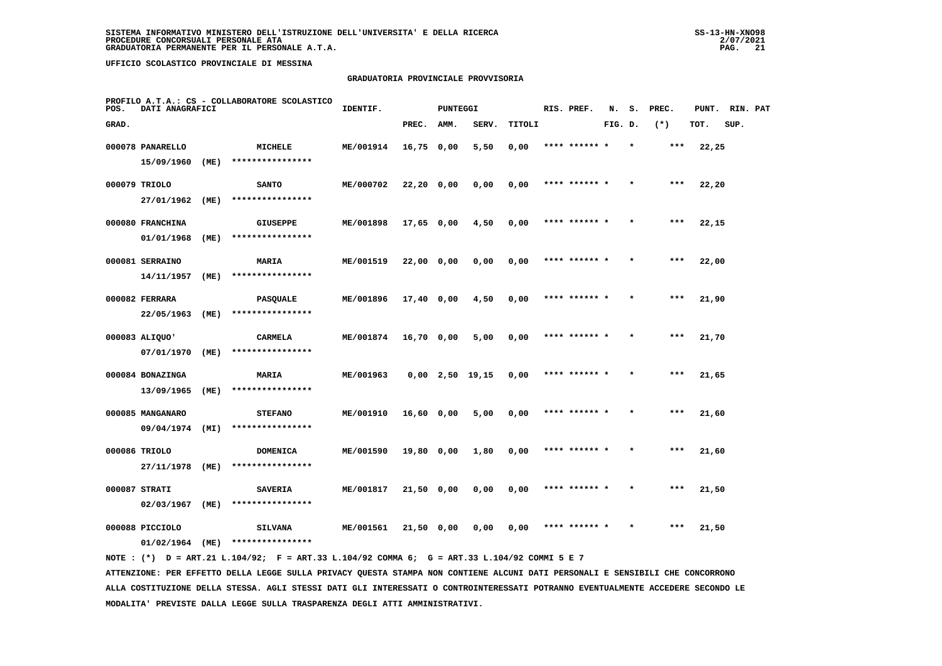## **GRADUATORIA PROVINCIALE PROVVISORIA**

| POS.  | DATI ANAGRAFICI                |      | PROFILO A.T.A.: CS - COLLABORATORE SCOLASTICO | IDENTIF.  |              | <b>PUNTEGGI</b> |                   |        | RIS. PREF.    | N.      | s. | PREC. | PUNT. | RIN. PAT |  |
|-------|--------------------------------|------|-----------------------------------------------|-----------|--------------|-----------------|-------------------|--------|---------------|---------|----|-------|-------|----------|--|
| GRAD. |                                |      |                                               |           | PREC.        | AMM.            | SERV.             | TITOLI |               | FIG. D. |    | $(*)$ | TOT.  | SUP.     |  |
|       | 000078 PANARELLO               |      | MICHELE                                       | ME/001914 | 16,75 0,00   |                 | 5,50              | 0,00   | **** ****** * |         |    | ***   | 22,25 |          |  |
|       | 15/09/1960                     | (ME) | ****************                              |           |              |                 |                   |        |               |         |    |       |       |          |  |
|       | 000079 TRIOLO                  |      | <b>SANTO</b>                                  | ME/000702 | $22,20$ 0,00 |                 | 0,00              | 0,00   | **** ****** * |         |    | $***$ | 22,20 |          |  |
|       | 27/01/1962                     | (ME) | ****************                              |           |              |                 |                   |        |               |         |    |       |       |          |  |
|       | 000080 FRANCHINA               |      | <b>GIUSEPPE</b>                               | ME/001898 | $17,65$ 0,00 |                 | 4,50              | 0,00   | **** ****** * |         |    | $***$ | 22,15 |          |  |
|       | 01/01/1968                     | (ME) | ****************                              |           |              |                 |                   |        |               |         |    |       |       |          |  |
|       | 000081 SERRAINO                |      | MARIA                                         | ME/001519 | 22,00 0,00   |                 | 0,00              | 0,00   | **** ****** * |         |    | ***   | 22,00 |          |  |
|       | 14/11/1957                     | (ME) | ****************                              |           |              |                 |                   |        |               |         |    |       |       |          |  |
|       | 000082 FERRARA                 |      | <b>PASQUALE</b>                               | ME/001896 | $17,40$ 0,00 |                 | 4,50              | 0,00   | **** ****** * |         |    | $***$ | 21,90 |          |  |
|       | 22/05/1963                     | (ME) | ****************                              |           |              |                 |                   |        |               |         |    |       |       |          |  |
|       | 000083 ALIQUO'                 |      | <b>CARMELA</b>                                | ME/001874 | 16,70 0,00   |                 | 5,00              | 0,00   | **** ****** * |         |    | $***$ | 21,70 |          |  |
|       | 07/01/1970                     | (ME) | ****************                              |           |              |                 |                   |        |               |         |    |       |       |          |  |
|       | 000084 BONAZINGA<br>13/09/1965 | (ME) | <b>MARIA</b><br>****************              | ME/001963 |              |                 | $0,00$ 2,50 19,15 | 0,00   | **** ****** * |         |    | $***$ | 21,65 |          |  |
|       |                                |      |                                               |           |              |                 |                   |        |               |         |    |       |       |          |  |
|       | 000085 MANGANARO<br>09/04/1974 | (MI) | <b>STEFANO</b><br>****************            | ME/001910 | 16,60 0,00   |                 | 5,00              | 0,00   | **** ****** * |         |    | ***   | 21,60 |          |  |
|       |                                |      |                                               |           |              |                 |                   |        |               |         |    |       |       |          |  |
|       | 000086 TRIOLO<br>27/11/1978    | (ME) | <b>DOMENICA</b><br>****************           | ME/001590 | 19,80 0,00   |                 | 1,80              | 0,00   | **** ****** * |         |    | $***$ | 21,60 |          |  |
|       |                                |      |                                               |           |              |                 |                   |        | **** ****** * |         |    | ***   |       |          |  |
|       | 000087 STRATI<br>02/03/1967    | (ME) | <b>SAVERIA</b><br>****************            | ME/001817 | 21,50 0,00   |                 | 0,00              | 0,00   |               |         |    |       | 21,50 |          |  |
|       | 000088 PICCIOLO                |      | <b>SILVANA</b>                                | ME/001561 | 21,50 0,00   |                 | 0,00              | 0,00   |               |         |    | ***   | 21,50 |          |  |
|       | 01/02/1964                     | (ME) | ****************                              |           |              |                 |                   |        |               |         |    |       |       |          |  |
|       |                                |      |                                               |           |              |                 |                   |        |               |         |    |       |       |          |  |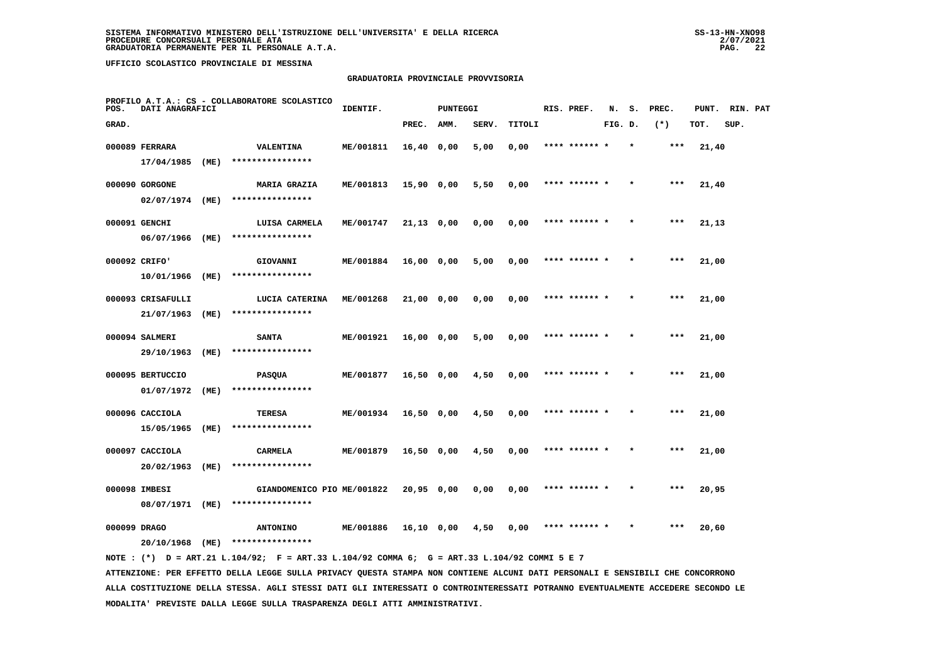## **GRADUATORIA PROVINCIALE PROVVISORIA**

| POS.  | DATI ANAGRAFICI   |      | PROFILO A.T.A.: CS - COLLABORATORE SCOLASTICO | IDENTIF.  |              | <b>PUNTEGGI</b> |       |        | RIS. PREF.    | N.      | s.      | PREC.  | PUNT. | RIN. PAT |  |
|-------|-------------------|------|-----------------------------------------------|-----------|--------------|-----------------|-------|--------|---------------|---------|---------|--------|-------|----------|--|
| GRAD. |                   |      |                                               |           | PREC.        | AMM.            | SERV. | TITOLI |               | FIG. D. |         | $(* )$ | TOT.  | SUP.     |  |
|       | 000089 FERRARA    |      | VALENTINA                                     | ME/001811 | $16,40$ 0,00 |                 | 5,00  | 0,00   | **** ******   |         |         | ***    | 21,40 |          |  |
|       | 17/04/1985        | (ME) | ****************                              |           |              |                 |       |        |               |         |         |        |       |          |  |
|       | 000090 GORGONE    |      | <b>MARIA GRAZIA</b>                           | ME/001813 | 15,90 0,00   |                 | 5,50  | 0,00   | **** ****** * |         |         | $***$  | 21,40 |          |  |
|       | 02/07/1974 (ME)   |      | ****************                              |           |              |                 |       |        |               |         |         |        |       |          |  |
|       | 000091 GENCHI     |      | LUISA CARMELA                                 | ME/001747 | $21,13$ 0,00 |                 | 0,00  | 0,00   | **** ******   |         |         | $***$  | 21,13 |          |  |
|       | 06/07/1966        | (ME) | ****************                              |           |              |                 |       |        |               |         |         |        |       |          |  |
|       | 000092 CRIFO'     |      | GIOVANNI                                      | ME/001884 | 16,00 0,00   |                 | 5,00  | 0,00   | **** ****** * |         |         | $***$  | 21,00 |          |  |
|       | 10/01/1966        | (ME) | ****************                              |           |              |                 |       |        |               |         |         |        |       |          |  |
|       | 000093 CRISAFULLI |      | LUCIA CATERINA                                | ME/001268 | 21,00 0,00   |                 | 0,00  | 0,00   | **** ****** * |         |         | $***$  | 21,00 |          |  |
|       | 21/07/1963        | (ME) | ****************                              |           |              |                 |       |        |               |         |         |        |       |          |  |
|       | 000094 SALMERI    |      | <b>SANTA</b>                                  | ME/001921 | 16,00 0,00   |                 | 5,00  | 0,00   | **** ****** * |         | $\star$ | $***$  | 21,00 |          |  |
|       | 29/10/1963        | (ME) | ****************                              |           |              |                 |       |        |               |         |         |        |       |          |  |
|       | 000095 BERTUCCIO  |      | <b>PASQUA</b>                                 | ME/001877 | $16,50$ 0,00 |                 | 4,50  | 0,00   |               |         |         | ***    | 21,00 |          |  |
|       | 01/07/1972        | (ME) | ****************                              |           |              |                 |       |        |               |         |         |        |       |          |  |
|       | 000096 CACCIOLA   |      | TERESA                                        | ME/001934 | 16,50 0,00   |                 | 4,50  | 0,00   | **** ****** * |         |         | $***$  | 21,00 |          |  |
|       | 15/05/1965        | (ME) | ****************                              |           |              |                 |       |        |               |         |         |        |       |          |  |
|       | 000097 CACCIOLA   |      | <b>CARMELA</b>                                | ME/001879 | $16,50$ 0,00 |                 | 4,50  | 0,00   | **** ****** * |         |         | $***$  | 21,00 |          |  |
|       | 20/02/1963        | (ME) | ****************                              |           |              |                 |       |        |               |         |         |        |       |          |  |
|       | 000098 IMBESI     |      | GIANDOMENICO PIO ME/001822                    |           | 20,95 0,00   |                 | 0,00  | 0,00   | **** ****** * |         |         | $***$  | 20,95 |          |  |
|       | 08/07/1971 (ME)   |      | ****************                              |           |              |                 |       |        |               |         |         |        |       |          |  |
|       | 000099 DRAGO      |      | <b>ANTONINO</b>                               | ME/001886 | 16,10 0,00   |                 | 4,50  | 0,00   |               |         |         | ***    | 20,60 |          |  |
|       | 20/10/1968        | (ME) | ****************                              |           |              |                 |       |        |               |         |         |        |       |          |  |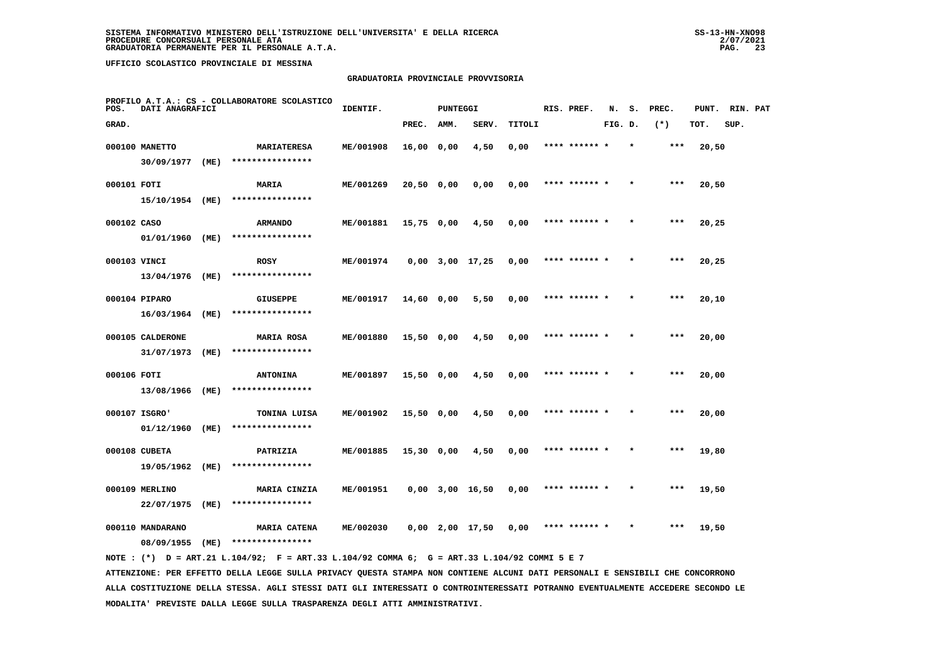#### **GRADUATORIA PROVINCIALE PROVVISORIA**

| POS.         | DATI ANAGRAFICI              |      | PROFILO A.T.A.: CS - COLLABORATORE SCOLASTICO | IDENTIF.         |            | <b>PUNTEGGI</b> |                       |        | RIS. PREF.    | N.      | s.      | PREC. | PUNT. | RIN. PAT |  |
|--------------|------------------------------|------|-----------------------------------------------|------------------|------------|-----------------|-----------------------|--------|---------------|---------|---------|-------|-------|----------|--|
| GRAD.        |                              |      |                                               |                  | PREC.      | AMM.            | SERV.                 | TITOLI |               | FIG. D. |         | $(*)$ | TOT.  | SUP.     |  |
|              | 000100 MANETTO               |      | <b>MARIATERESA</b>                            | ME/001908        | 16,00 0,00 |                 | 4,50                  | 0,00   | **** ****** * |         | $\star$ | ***   | 20,50 |          |  |
|              | 30/09/1977 (ME)              |      | ****************                              |                  |            |                 |                       |        |               |         |         |       |       |          |  |
| 000101 FOTI  |                              |      | <b>MARIA</b>                                  | ME/001269        | 20,50 0,00 |                 | 0,00                  | 0,00   | **** ****** * |         |         | ***   | 20,50 |          |  |
|              | 15/10/1954 (ME)              |      | ****************                              |                  |            |                 |                       |        |               |         |         |       |       |          |  |
| 000102 CASO  |                              |      | <b>ARMANDO</b>                                | ME/001881        | 15,75 0,00 |                 | 4,50                  | 0,00   | **** ****** * |         |         | $***$ | 20,25 |          |  |
|              | 01/01/1960 (ME)              |      | ****************                              |                  |            |                 |                       |        |               |         |         |       |       |          |  |
| 000103 VINCI |                              |      | <b>ROSY</b>                                   | ME/001974        |            |                 | $0,00$ $3,00$ $17,25$ | 0,00   | **** ****** * |         |         | ***   | 20,25 |          |  |
|              | 13/04/1976 (ME)              |      | ****************                              |                  |            |                 |                       |        |               |         |         |       |       |          |  |
|              | 000104 PIPARO                |      | <b>GIUSEPPE</b>                               | ME/001917        | 14,60 0,00 |                 | 5,50                  | 0,00   | **** ****** * |         |         | $***$ | 20,10 |          |  |
|              | 16/03/1964 (ME)              |      | ****************                              |                  |            |                 |                       |        |               |         |         |       |       |          |  |
|              | 000105 CALDERONE             |      | <b>MARIA ROSA</b>                             | ME/001880        | 15,50 0,00 |                 | 4,50                  | 0,00   | **** ****** * |         |         | $***$ | 20,00 |          |  |
|              | 31/07/1973 (ME)              |      | ****************                              |                  |            |                 |                       |        |               |         |         |       |       |          |  |
| 000106 FOTI  |                              |      | <b>ANTONINA</b>                               | <b>ME/001897</b> | 15,50 0,00 |                 | 4,50                  | 0,00   | **** ****** * |         |         | ***   | 20,00 |          |  |
|              | 13/08/1966 (ME)              |      | ****************                              |                  |            |                 |                       |        |               |         |         |       |       |          |  |
|              | 000107 ISGRO'                |      | TONINA LUISA                                  | ME/001902        | 15,50 0,00 |                 | 4,50                  | 0,00   | **** ****** * |         |         | ***   | 20,00 |          |  |
|              | 01/12/1960 (ME)              |      | ****************                              |                  |            |                 |                       |        |               |         |         |       |       |          |  |
|              | 000108 CUBETA                |      | PATRIZIA<br>****************                  | ME/001885        | 15,30 0,00 |                 | 4,50                  | 0,00   | **** ****** * |         |         | $***$ | 19,80 |          |  |
|              | 19/05/1962 (ME)              |      |                                               |                  |            |                 |                       |        |               |         |         |       |       |          |  |
|              | 000109 MERLINO<br>22/07/1975 | (ME) | MARIA CINZIA<br>****************              | ME/001951        |            |                 | $0,00$ $3,00$ $16,50$ | 0,00   | **** ****** * |         |         | ***   | 19,50 |          |  |
|              |                              |      |                                               |                  |            |                 |                       |        |               |         |         |       |       |          |  |
|              | 000110 MANDARANO             |      | <b>MARIA CATENA</b><br>****************       | ME/002030        |            |                 | 0,00 2,00 17,50       | 0,00   | **** ****** * |         |         | $***$ | 19,50 |          |  |
|              | 08/09/1955                   | (ME) |                                               |                  |            |                 |                       |        |               |         |         |       |       |          |  |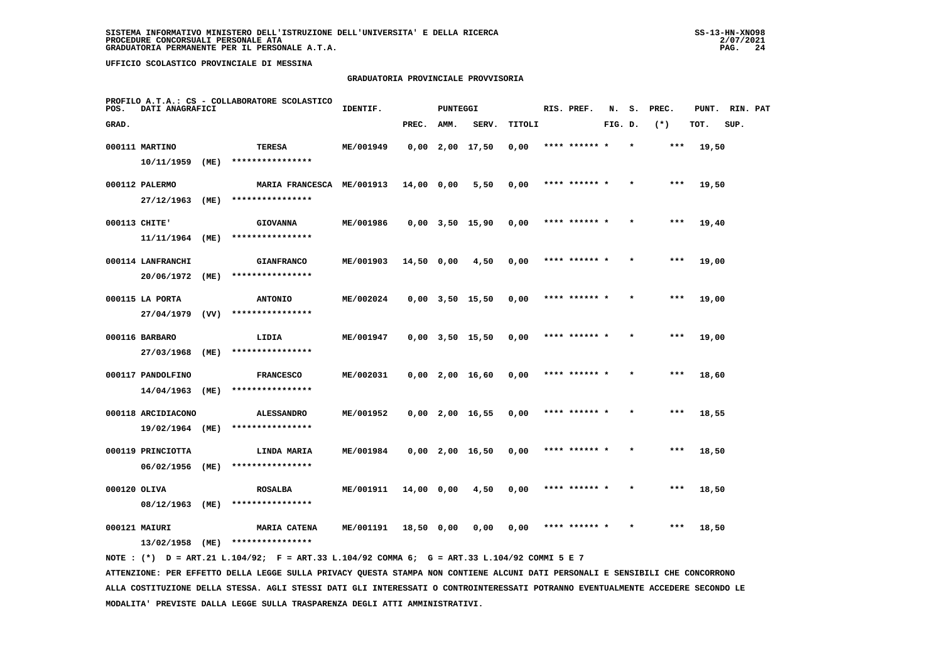#### **GRADUATORIA PROVINCIALE PROVVISORIA**

| POS.         | DATI ANAGRAFICI             |      | PROFILO A.T.A.: CS - COLLABORATORE SCOLASTICO | IDENTIF.  |            | <b>PUNTEGGI</b> |                       |        | RIS. PREF.    | N.      | s.      | PREC.  | PUNT. | RIN. PAT |  |
|--------------|-----------------------------|------|-----------------------------------------------|-----------|------------|-----------------|-----------------------|--------|---------------|---------|---------|--------|-------|----------|--|
| GRAD.        |                             |      |                                               |           | PREC.      | AMM.            | SERV.                 | TITOLI |               | FIG. D. |         | $(* )$ | TOT.  | SUP.     |  |
|              | 000111 MARTINO              |      | TERESA                                        | ME/001949 |            |                 | $0,00$ 2,00 17,50     | 0,00   | **** ******   |         |         | $***$  | 19,50 |          |  |
|              | 10/11/1959                  | (ME) | ****************                              |           |            |                 |                       |        |               |         |         |        |       |          |  |
|              | 000112 PALERMO              |      | MARIA FRANCESCA ME/001913                     |           | 14,00 0,00 |                 | 5,50                  | 0,00   | **** ****** * |         |         | $***$  | 19,50 |          |  |
|              | 27/12/1963                  | (ME) | ****************                              |           |            |                 |                       |        |               |         |         |        |       |          |  |
|              | 000113 CHITE'               |      | <b>GIOVANNA</b>                               | ME/001986 |            |                 | $0,00$ $3,50$ $15,90$ | 0,00   | **** ****** * |         |         | $***$  | 19,40 |          |  |
|              | 11/11/1964                  | (ME) | ****************                              |           |            |                 |                       |        |               |         |         |        |       |          |  |
|              | 000114 LANFRANCHI           |      | <b>GIANFRANCO</b>                             | ME/001903 | 14,50 0,00 |                 | 4,50                  | 0,00   | **** ****** * |         |         | $***$  | 19,00 |          |  |
|              | 20/06/1972                  | (ME) | ****************                              |           |            |                 |                       |        |               |         |         |        |       |          |  |
|              | 000115 LA PORTA             |      | <b>ANTONIO</b>                                | ME/002024 |            |                 | $0,00$ $3,50$ $15,50$ | 0,00   | **** ****** * |         |         | $***$  | 19,00 |          |  |
|              | 27/04/1979                  | (VV) | ****************                              |           |            |                 |                       |        |               |         |         |        |       |          |  |
|              | 000116 BARBARO              |      | LIDIA                                         | ME/001947 |            |                 | $0,00$ $3,50$ $15,50$ | 0,00   |               |         |         | $***$  | 19,00 |          |  |
|              | 27/03/1968                  | (ME) | ****************                              |           |            |                 |                       |        |               |         |         |        |       |          |  |
|              | 000117 PANDOLFINO           |      | <b>FRANCESCO</b>                              | ME/002031 |            |                 | $0.00$ $2.00$ $16.60$ | 0,00   |               |         |         | ***    | 18,60 |          |  |
|              | 14/04/1963                  | (ME) | ****************                              |           |            |                 |                       |        |               |         |         |        |       |          |  |
|              | 000118 ARCIDIACONO          |      | <b>ALESSANDRO</b><br>****************         | ME/001952 |            |                 | $0,00$ 2,00 16,55     | 0,00   | **** ****** * |         |         | $***$  | 18,55 |          |  |
|              | 19/02/1964                  | (ME) |                                               |           |            |                 |                       |        |               |         |         |        |       |          |  |
|              | 000119 PRINCIOTTA           |      | LINDA MARIA<br>****************               | ME/001984 |            |                 | $0,00$ 2,00 16,50     | 0,00   | **** ****** * |         | $\star$ | $***$  | 18,50 |          |  |
|              | 06/02/1956                  | (ME) |                                               |           |            |                 |                       |        |               |         |         |        |       |          |  |
| 000120 OLIVA | 08/12/1963                  | (ME) | <b>ROSALBA</b><br>****************            | ME/001911 | 14,00 0,00 |                 | 4,50                  | 0,00   | **** ****** * |         |         | ***    | 18,50 |          |  |
|              |                             |      |                                               |           |            |                 |                       |        |               |         |         |        |       |          |  |
|              | 000121 MAIURI<br>13/02/1958 | (ME) | <b>MARIA CATENA</b><br>****************       | ME/001191 | 18,50 0,00 |                 | 0.00                  | 0.00   | **** ****** * |         |         | $***$  | 18,50 |          |  |
|              |                             |      |                                               |           |            |                 |                       |        |               |         |         |        |       |          |  |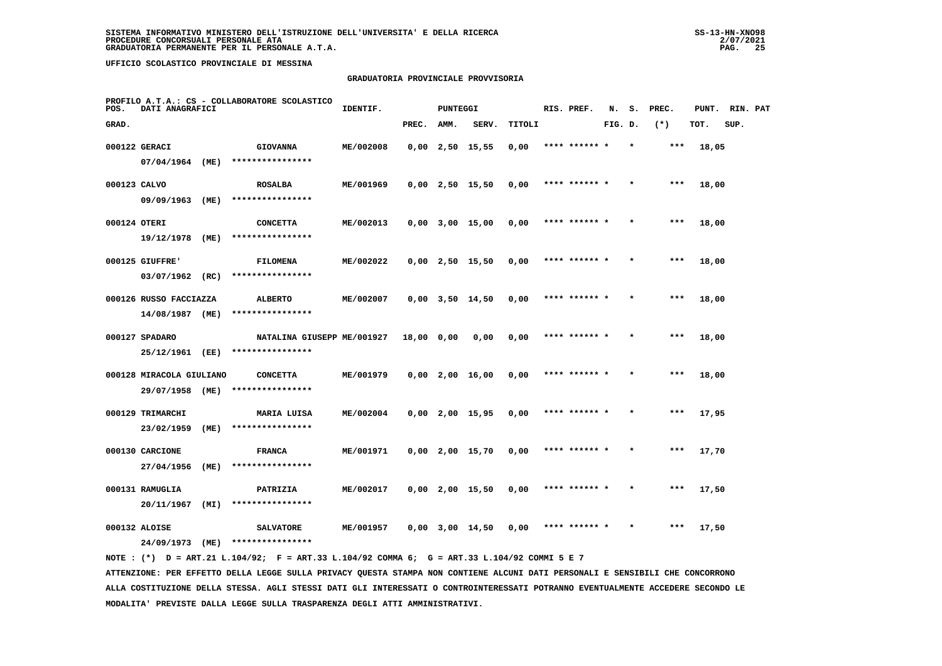#### **GRADUATORIA PROVINCIALE PROVVISORIA**

| POS.         | DATI ANAGRAFICI               |      | PROFILO A.T.A.: CS - COLLABORATORE SCOLASTICO | IDENTIF.  |            | <b>PUNTEGGI</b> |                       |        | RIS. PREF.    | N.      | s.      | PREC. | PUNT. | RIN. PAT |  |
|--------------|-------------------------------|------|-----------------------------------------------|-----------|------------|-----------------|-----------------------|--------|---------------|---------|---------|-------|-------|----------|--|
| GRAD.        |                               |      |                                               |           | PREC.      | AMM.            | SERV.                 | TITOLI |               | FIG. D. |         | $(*)$ | TOT.  | SUP.     |  |
|              | 000122 GERACI                 |      | <b>GIOVANNA</b>                               | ME/002008 |            |                 | $0,00$ 2,50 15,55     | 0,00   | **** ****** * |         | $\star$ | ***   | 18,05 |          |  |
|              | 07/04/1964 (ME)               |      | ****************                              |           |            |                 |                       |        |               |         |         |       |       |          |  |
| 000123 CALVO |                               |      | <b>ROSALBA</b>                                | ME/001969 |            |                 | $0,00$ 2,50 15,50     | 0,00   | **** ******   |         |         | ***   | 18,00 |          |  |
|              | 09/09/1963 (ME)               |      | ****************                              |           |            |                 |                       |        |               |         |         |       |       |          |  |
| 000124 OTERI |                               |      | <b>CONCETTA</b>                               | ME/002013 |            |                 | $0,00$ $3,00$ $15,00$ | 0,00   | **** ****** * |         |         | $***$ | 18,00 |          |  |
|              | 19/12/1978                    | (ME) | ****************                              |           |            |                 |                       |        |               |         |         |       |       |          |  |
|              | 000125 GIUFFRE'               |      | <b>FILOMENA</b>                               | ME/002022 |            |                 | $0,00$ 2,50 15,50     | 0,00   | **** ****** * |         | $\star$ | ***   | 18,00 |          |  |
|              | 03/07/1962                    | (RC) | ****************                              |           |            |                 |                       |        |               |         |         |       |       |          |  |
|              | 000126 RUSSO FACCIAZZA        |      | <b>ALBERTO</b>                                | ME/002007 |            |                 | $0,00$ $3,50$ $14,50$ | 0,00   | **** ****** * |         |         | ***   | 18,00 |          |  |
|              | 14/08/1987 (ME)               |      | ****************                              |           |            |                 |                       |        |               |         |         |       |       |          |  |
|              | 000127 SPADARO                |      | NATALINA GIUSEPP ME/001927                    |           | 18,00 0,00 |                 | 0,00                  | 0,00   | **** ****** * |         |         | $***$ | 18,00 |          |  |
|              | 25/12/1961 (EE)               |      | ****************                              |           |            |                 |                       |        |               |         |         |       |       |          |  |
|              | 000128 MIRACOLA GIULIANO      |      | <b>CONCETTA</b>                               | ME/001979 |            |                 | $0,00$ 2,00 16,00     | 0,00   | **** ****** * |         |         | ***   | 18,00 |          |  |
|              | 29/07/1958 (ME)               |      | ****************                              |           |            |                 |                       |        |               |         |         |       |       |          |  |
|              | 000129 TRIMARCHI              |      | MARIA LUISA<br>****************               | ME/002004 |            |                 | $0,00$ 2,00 15,95     | 0,00   | **** ******   |         |         | ***   | 17,95 |          |  |
|              | 23/02/1959                    | (ME) |                                               |           |            |                 |                       |        |               |         |         |       |       |          |  |
|              | 000130 CARCIONE<br>27/04/1956 | (ME) | <b>FRANCA</b><br>****************             | ME/001971 |            |                 | $0,00$ 2,00 15,70     | 0,00   | **** ****** * |         |         | $***$ | 17,70 |          |  |
|              |                               |      |                                               |           |            |                 |                       |        |               |         |         |       |       |          |  |
|              | 000131 RAMUGLIA<br>20/11/1967 | (MI) | PATRIZIA<br>****************                  | ME/002017 |            |                 | $0,00$ 2,00 15,50     | 0,00   | **** ****** * |         |         | ***   | 17,50 |          |  |
|              |                               |      |                                               |           |            |                 |                       |        |               |         |         |       |       |          |  |
|              | 000132 ALOISE                 |      | <b>SALVATORE</b><br>****************          | ME/001957 |            |                 | $0,00$ $3,00$ $14,50$ | 0,00   | **** ****** * |         |         | ***   | 17,50 |          |  |
|              | 24/09/1973                    | (ME) |                                               |           |            |                 |                       |        |               |         |         |       |       |          |  |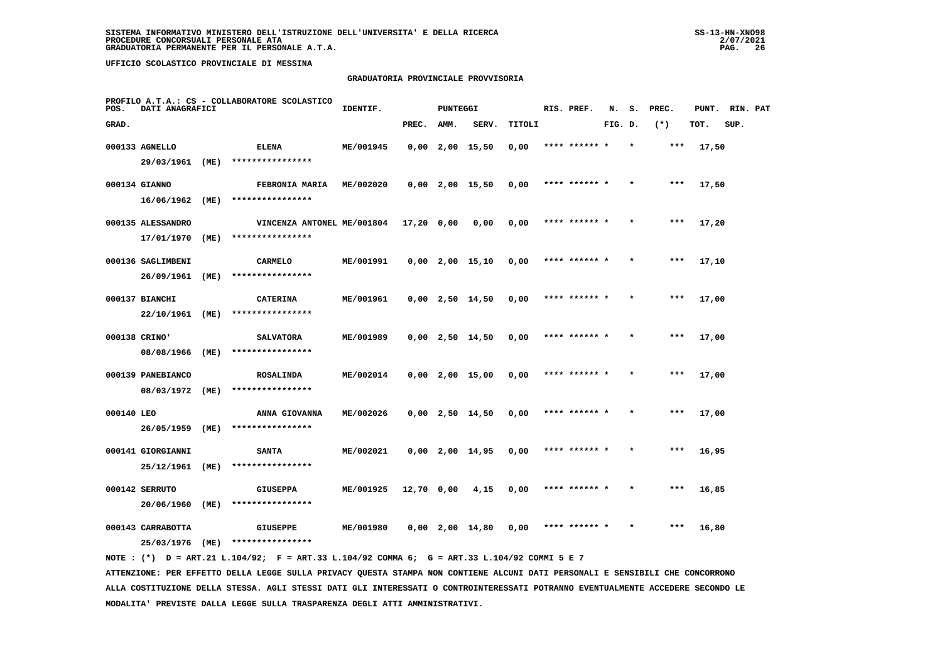## **GRADUATORIA PROVINCIALE PROVVISORIA**

| PROFILO A.T.A.: CS - COLLABORATORE SCOLASTICO<br>DATI ANAGRAFICI<br>POS. |                                 |      |                                      | IDENTIF.  |              | <b>PUNTEGGI</b> |                   | RIS. PREF. | N.            | s.      | PREC. | PUNT. | RIN. PAT |      |  |
|--------------------------------------------------------------------------|---------------------------------|------|--------------------------------------|-----------|--------------|-----------------|-------------------|------------|---------------|---------|-------|-------|----------|------|--|
| GRAD.                                                                    |                                 |      |                                      |           | PREC.        | AMM.            | SERV.             | TITOLI     |               | FIG. D. |       | $(*)$ | TOT.     | SUP. |  |
|                                                                          | 000133 AGNELLO                  |      | <b>ELENA</b>                         | ME/001945 |              |                 | $0,00$ 2,00 15,50 | 0,00       | **** ****** * |         |       | ***   | 17,50    |      |  |
|                                                                          | 29/03/1961                      | (ME) | ****************                     |           |              |                 |                   |            |               |         |       |       |          |      |  |
|                                                                          | 000134 GIANNO                   |      | FEBRONIA MARIA                       | ME/002020 |              |                 | $0,00$ 2,00 15,50 | 0,00       | **** ****** * |         |       | $***$ | 17,50    |      |  |
|                                                                          | 16/06/1962                      | (ME) | ****************                     |           |              |                 |                   |            |               |         |       |       |          |      |  |
|                                                                          | 000135 ALESSANDRO               |      | VINCENZA ANTONEL ME/001804           |           | $17,20$ 0,00 |                 | 0,00              | 0,00       | **** ****** * |         |       | $***$ | 17,20    |      |  |
|                                                                          | 17/01/1970                      | (ME) | ****************                     |           |              |                 |                   |            |               |         |       |       |          |      |  |
|                                                                          | 000136 SAGLIMBENI               |      | <b>CARMELO</b>                       | ME/001991 |              |                 | $0,00$ 2,00 15,10 | 0,00       | **** ****** * |         |       | ***   | 17,10    |      |  |
|                                                                          | 26/09/1961                      | (ME) | ****************                     |           |              |                 |                   |            |               |         |       |       |          |      |  |
|                                                                          | 000137 BIANCHI                  |      | <b>CATERINA</b>                      | ME/001961 |              |                 | $0,00$ 2,50 14,50 | 0,00       | **** ****** * |         |       | $***$ | 17,00    |      |  |
|                                                                          | 22/10/1961                      | (ME) | ****************                     |           |              |                 |                   |            |               |         |       |       |          |      |  |
|                                                                          | 000138 CRINO'                   |      | <b>SALVATORA</b><br>**************** | ME/001989 |              |                 | $0,00$ 2,50 14,50 | 0,00       | **** ****** * |         |       | $***$ | 17,00    |      |  |
|                                                                          | 08/08/1966                      | (ME) |                                      |           |              |                 |                   |            |               |         |       |       |          |      |  |
|                                                                          | 000139 PANEBIANCO<br>08/03/1972 | (ME) | <b>ROSALINDA</b><br>**************** | ME/002014 |              |                 | $0,00$ 2,00 15,00 | 0.00       | **** ****** * |         |       | $***$ | 17,00    |      |  |
|                                                                          |                                 |      |                                      |           |              |                 |                   |            |               |         |       |       |          |      |  |
| 000140 LEO                                                               | 26/05/1959                      | (ME) | ANNA GIOVANNA<br>****************    | ME/002026 |              |                 | $0,00$ 2,50 14,50 | 0,00       | **** ****** * |         |       | $***$ | 17,00    |      |  |
|                                                                          |                                 |      |                                      |           |              |                 |                   |            | **** ****** * |         |       | ***   |          |      |  |
|                                                                          | 000141 GIORGIANNI<br>25/12/1961 | (ME) | <b>SANTA</b><br>****************     | ME/002021 |              |                 | $0,00$ 2,00 14,95 | 0,00       |               |         |       |       | 16,95    |      |  |
|                                                                          | 000142 SERRUTO                  |      | <b>GIUSEPPA</b>                      | ME/001925 | 12,70 0,00   |                 | 4,15              | 0,00       | **** ****** * |         |       | $***$ | 16,85    |      |  |
|                                                                          | 20/06/1960                      | (ME) | ****************                     |           |              |                 |                   |            |               |         |       |       |          |      |  |
|                                                                          | 000143 CARRABOTTA               |      | <b>GIUSEPPE</b>                      | ME/001980 |              |                 | $0,00$ 2,00 14,80 | 0,00       | **** ****** * |         |       | $***$ | 16,80    |      |  |
|                                                                          | 25/03/1976                      | (ME) | ****************                     |           |              |                 |                   |            |               |         |       |       |          |      |  |
|                                                                          |                                 |      |                                      |           |              |                 |                   |            |               |         |       |       |          |      |  |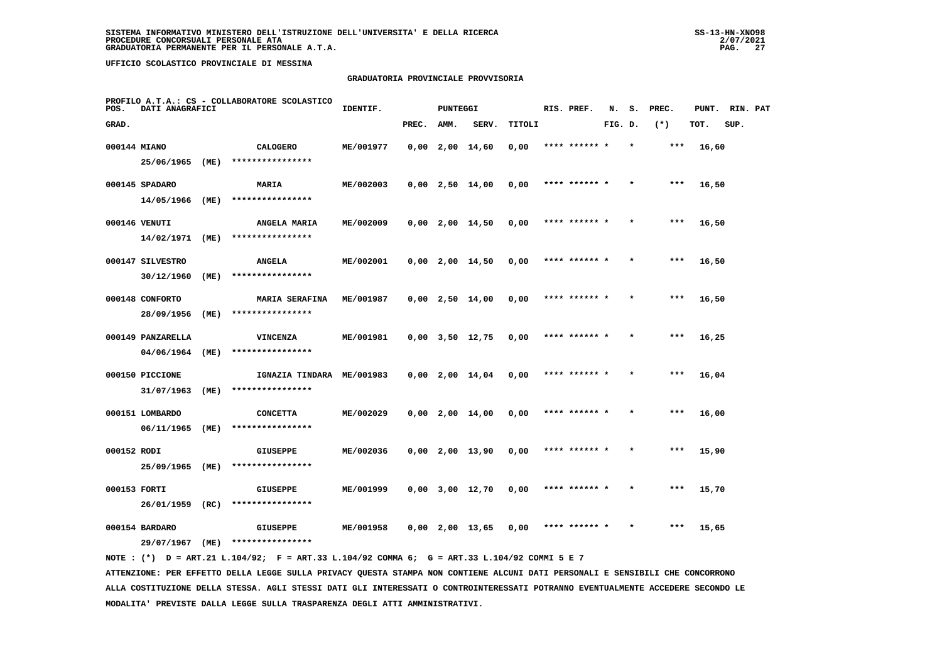#### **GRADUATORIA PROVINCIALE PROVVISORIA**

| PROFILO A.T.A.: CS - COLLABORATORE SCOLASTICO<br>POS.<br>DATI ANAGRAFICI |                              |      |                                               | IDENTIF.<br><b>PUNTEGGI</b> |       |      |                       |        |  | RIS. PREF.    | N.      |         | PREC. | PUNT. | RIN. PAT |  |
|--------------------------------------------------------------------------|------------------------------|------|-----------------------------------------------|-----------------------------|-------|------|-----------------------|--------|--|---------------|---------|---------|-------|-------|----------|--|
| GRAD.                                                                    |                              |      |                                               |                             | PREC. | AMM. | SERV.                 | TITOLI |  |               | FIG. D. |         | $(*)$ | TOT.  | SUP.     |  |
| 000144 MIANO                                                             |                              |      | <b>CALOGERO</b>                               | ME/001977                   |       |      | $0,00$ 2,00 14,60     | 0,00   |  | **** ****** * |         | $\star$ | ***   | 16,60 |          |  |
|                                                                          | 25/06/1965                   | (ME) | ****************                              |                             |       |      |                       |        |  |               |         |         |       |       |          |  |
|                                                                          | 000145 SPADARO               |      | <b>MARIA</b>                                  | ME/002003                   |       |      | $0,00$ 2,50 14,00     | 0,00   |  | **** ******   |         |         | ***   | 16,50 |          |  |
|                                                                          | 14/05/1966 (ME)              |      | ****************                              |                             |       |      |                       |        |  |               |         |         |       |       |          |  |
|                                                                          | 000146 VENUTI                |      | ANGELA MARIA                                  | ME/002009                   |       |      | $0,00$ 2,00 14,50     | 0,00   |  | **** ****** * |         |         | ***   | 16,50 |          |  |
|                                                                          | 14/02/1971                   | (ME) | ****************                              |                             |       |      |                       |        |  |               |         |         |       |       |          |  |
|                                                                          | 000147 SILVESTRO             |      | <b>ANGELA</b>                                 | ME/002001                   |       |      | $0,00$ 2,00 14,50     | 0,00   |  | **** ****** * |         | $\star$ | $***$ | 16,50 |          |  |
|                                                                          | 30/12/1960                   | (ME) | ****************                              |                             |       |      |                       |        |  |               |         |         |       |       |          |  |
|                                                                          | 000148 CONFORTO              |      | <b>MARIA SERAFINA</b>                         | ME/001987                   |       |      | $0,00$ 2,50 14,00     | 0,00   |  | **** ****** * |         |         | $***$ | 16,50 |          |  |
|                                                                          | 28/09/1956                   | (ME) | ****************                              |                             |       |      |                       |        |  |               |         |         |       |       |          |  |
|                                                                          | 000149 PANZARELLA            |      | VINCENZA                                      | ME/001981                   |       |      | $0,00$ $3,50$ $12,75$ | 0,00   |  | **** ****** * |         |         | $***$ | 16,25 |          |  |
|                                                                          | 04/06/1964                   | (ME) | ****************                              |                             |       |      |                       |        |  |               |         |         |       |       |          |  |
|                                                                          | 000150 PICCIONE              |      | IGNAZIA TINDARA ME/001983<br>**************** |                             |       |      | $0,00$ 2,00 14,04     | 0,00   |  | **** ****** * |         |         | ***   | 16,04 |          |  |
|                                                                          | 31/07/1963                   | (ME) |                                               |                             |       |      |                       |        |  |               |         |         |       |       |          |  |
|                                                                          | 000151 LOMBARDO              |      | <b>CONCETTA</b><br>****************           | ME/002029                   |       |      | $0,00$ 2,00 14,00     | 0,00   |  | **** ****** * |         |         | ***   | 16,00 |          |  |
|                                                                          | 06/11/1965                   | (ME) |                                               |                             |       |      |                       |        |  |               |         |         |       |       |          |  |
| 000152 RODI                                                              | 25/09/1965 (ME)              |      | <b>GIUSEPPE</b><br>****************           | ME/002036                   |       |      | $0,00$ 2,00 13,90     | 0,00   |  | **** ****** * |         |         | ***   | 15,90 |          |  |
|                                                                          |                              |      |                                               |                             |       |      |                       |        |  |               |         |         |       |       |          |  |
| 000153 FORTI                                                             | 26/01/1959                   | (RC) | <b>GIUSEPPE</b><br>****************           | ME/001999                   |       |      | $0,00$ $3,00$ $12,70$ | 0,00   |  | **** ****** * |         |         | $***$ | 15,70 |          |  |
|                                                                          |                              |      |                                               |                             |       |      |                       |        |  |               |         |         |       |       |          |  |
|                                                                          | 000154 BARDARO<br>29/07/1967 |      | <b>GIUSEPPE</b><br>****************           | ME/001958                   |       |      | $0,00$ 2,00 13,65     | 0,00   |  | **** ****** * |         |         | ***   | 15,65 |          |  |
|                                                                          |                              | (ME) |                                               |                             |       |      |                       |        |  |               |         |         |       |       |          |  |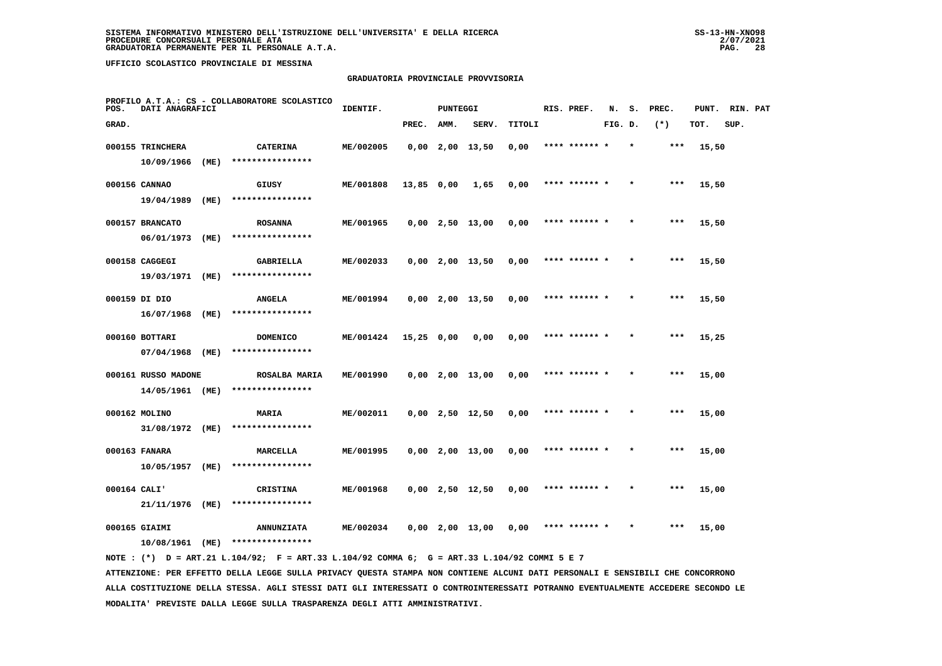## **GRADUATORIA PROVINCIALE PROVVISORIA**

| POS.         | DATI ANAGRAFICI     | PROFILO A.T.A.: CS - COLLABORATORE SCOLASTICO | IDENTIF.             |           |              | <b>PUNTEGGI</b> |                   |        | RIS. PREF. | N.            | s.      | PREC. | PUNT. | RIN. PAT |      |  |
|--------------|---------------------|-----------------------------------------------|----------------------|-----------|--------------|-----------------|-------------------|--------|------------|---------------|---------|-------|-------|----------|------|--|
| GRAD.        |                     |                                               |                      |           | PREC.        | AMM.            | SERV.             | TITOLI |            |               | FIG. D. |       | $(*)$ | TOT.     | SUP. |  |
|              | 000155 TRINCHERA    |                                               | <b>CATERINA</b>      | ME/002005 |              |                 | $0,00$ 2,00 13,50 | 0,00   |            | **** ****** * |         |       | ***   | 15,50    |      |  |
|              | 10/09/1966          | (ME)                                          | ****************     |           |              |                 |                   |        |            |               |         |       |       |          |      |  |
|              | 000156 CANNAO       |                                               | GIUSY                | ME/001808 | 13,85 0,00   |                 | 1,65              | 0,00   |            | **** ****** * |         |       | ***   | 15,50    |      |  |
|              | 19/04/1989          | (ME)                                          | ****************     |           |              |                 |                   |        |            |               |         |       |       |          |      |  |
|              | 000157 BRANCATO     |                                               | <b>ROSANNA</b>       | ME/001965 |              |                 | $0,00$ 2,50 13,00 | 0,00   |            | **** ****** * |         |       | $***$ | 15,50    |      |  |
|              | 06/01/1973          | (ME)                                          | ****************     |           |              |                 |                   |        |            |               |         |       |       |          |      |  |
|              | 000158 CAGGEGI      |                                               | GABRIELLA            | ME/002033 |              |                 | $0,00$ 2,00 13,50 | 0,00   |            | **** ****** * |         |       | ***   | 15,50    |      |  |
|              | 19/03/1971          | (ME)                                          | ****************     |           |              |                 |                   |        |            |               |         |       |       |          |      |  |
|              | 000159 DI DIO       |                                               | <b>ANGELA</b>        | ME/001994 |              |                 | $0,00$ 2,00 13,50 | 0,00   |            | **** ****** * |         |       | ***   | 15,50    |      |  |
|              | 16/07/1968          | (ME)                                          | ****************     |           |              |                 |                   |        |            |               |         |       |       |          |      |  |
|              | 000160 BOTTARI      |                                               | <b>DOMENICO</b>      | ME/001424 | $15,25$ 0,00 |                 | 0,00              | 0,00   |            | **** ****** * |         |       | $***$ | 15,25    |      |  |
|              | 07/04/1968          | (ME)                                          | ****************     |           |              |                 |                   |        |            |               |         |       |       |          |      |  |
|              | 000161 RUSSO MADONE |                                               | <b>ROSALBA MARIA</b> | ME/001990 |              |                 | $0,00$ 2,00 13,00 | 0,00   |            | **** ****** * |         |       | $***$ | 15,00    |      |  |
|              | 14/05/1961 (ME)     |                                               | ****************     |           |              |                 |                   |        |            |               |         |       |       |          |      |  |
|              | 000162 MOLINO       |                                               | MARIA                | ME/002011 |              |                 | $0,00$ 2,50 12,50 | 0,00   |            | **** ****** * |         |       | ***   | 15,00    |      |  |
|              | 31/08/1972 (ME)     |                                               | ****************     |           |              |                 |                   |        |            |               |         |       |       |          |      |  |
|              | 000163 FANARA       |                                               | MARCELLA             | ME/001995 |              |                 | $0,00$ 2,00 13,00 | 0,00   |            | **** ****** * |         |       | $***$ | 15,00    |      |  |
|              | 10/05/1957          | (ME)                                          | ****************     |           |              |                 |                   |        |            |               |         |       |       |          |      |  |
| 000164 CALI' |                     |                                               | CRISTINA             | ME/001968 |              |                 | $0,00$ 2,50 12,50 | 0,00   |            | **** ****** * |         |       | ***   | 15,00    |      |  |
|              | 21/11/1976          | (ME)                                          | ****************     |           |              |                 |                   |        |            |               |         |       |       |          |      |  |
|              | 000165 GIAIMI       |                                               | <b>ANNUNZIATA</b>    | ME/002034 |              |                 | $0,00$ 2,00 13,00 | 0,00   |            | **** ****** * |         |       | ***   | 15,00    |      |  |
|              | $10/08/1961$ (ME)   |                                               | ****************     |           |              |                 |                   |        |            |               |         |       |       |          |      |  |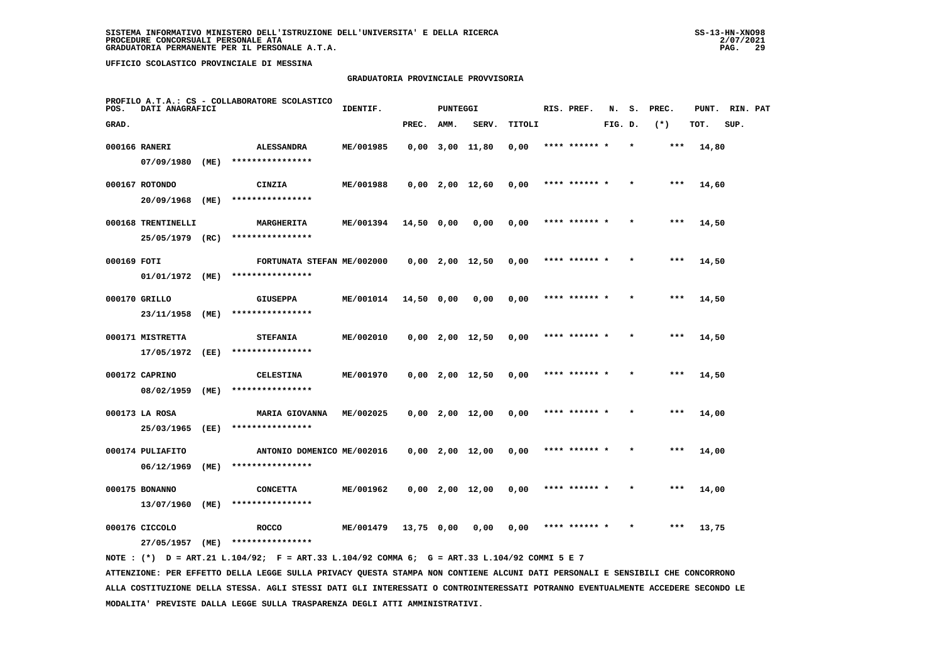#### **GRADUATORIA PROVINCIALE PROVVISORIA**

| PROFILO A.T.A.: CS - COLLABORATORE SCOLASTICO<br>POS.<br>DATI ANAGRAFICI |                    |      |                            | IDENTIF.  |              | <b>PUNTEGGI</b> |                       |        | RIS. PREF.    | N.      |         | PREC. | PUNT. |      | RIN. PAT |  |
|--------------------------------------------------------------------------|--------------------|------|----------------------------|-----------|--------------|-----------------|-----------------------|--------|---------------|---------|---------|-------|-------|------|----------|--|
| GRAD.                                                                    |                    |      |                            |           | PREC.        | AMM.            | SERV.                 | TITOLI |               | FIG. D. |         | $(*)$ | TOT.  | SUP. |          |  |
|                                                                          | 000166 RANERI      |      | <b>ALESSANDRA</b>          | ME/001985 |              |                 | $0,00$ $3,00$ $11,80$ | 0,00   | **** ****** * |         | $\star$ | ***   | 14,80 |      |          |  |
|                                                                          | 07/09/1980         | (ME) | ****************           |           |              |                 |                       |        |               |         |         |       |       |      |          |  |
|                                                                          | 000167 ROTONDO     |      | CINZIA                     | ME/001988 |              |                 | $0,00$ 2,00 12,60     | 0,00   |               |         |         | ***   | 14,60 |      |          |  |
|                                                                          | 20/09/1968         | (ME) | ****************           |           |              |                 |                       |        |               |         |         |       |       |      |          |  |
|                                                                          | 000168 TRENTINELLI |      | MARGHERITA                 | ME/001394 | 14,50 0,00   |                 | 0,00                  | 0,00   | **** ****** * |         |         | ***   | 14,50 |      |          |  |
|                                                                          | 25/05/1979 (RC)    |      | ****************           |           |              |                 |                       |        |               |         |         |       |       |      |          |  |
| 000169 FOTI                                                              |                    |      | FORTUNATA STEFAN ME/002000 |           |              |                 | $0,00$ 2,00 12,50     | 0,00   | **** ****** * |         |         | ***   | 14,50 |      |          |  |
|                                                                          | 01/01/1972 (ME)    |      | ****************           |           |              |                 |                       |        |               |         |         |       |       |      |          |  |
|                                                                          | 000170 GRILLO      |      | <b>GIUSEPPA</b>            | ME/001014 | $14,50$ 0,00 |                 | 0,00                  | 0,00   | **** ****** * |         |         | $***$ | 14,50 |      |          |  |
|                                                                          | 23/11/1958         | (ME) | ****************           |           |              |                 |                       |        |               |         |         |       |       |      |          |  |
|                                                                          | 000171 MISTRETTA   |      | <b>STEFANIA</b>            | ME/002010 |              |                 | $0,00$ 2,00 12,50     | 0,00   | **** ****** * |         |         | ***   | 14,50 |      |          |  |
|                                                                          | 17/05/1972 (EE)    |      | ****************           |           |              |                 |                       |        |               |         |         |       |       |      |          |  |
|                                                                          | 000172 CAPRINO     |      | <b>CELESTINA</b>           | ME/001970 |              |                 | $0,00$ 2,00 12,50     | 0,00   | **** ****** * |         |         | ***   | 14,50 |      |          |  |
|                                                                          | 08/02/1959         | (ME) | ****************           |           |              |                 |                       |        |               |         |         |       |       |      |          |  |
|                                                                          | 000173 LA ROSA     |      | <b>MARIA GIOVANNA</b>      | ME/002025 |              |                 | $0,00$ $2,00$ $12,00$ | 0,00   |               |         |         |       | 14,00 |      |          |  |
|                                                                          | 25/03/1965         | (EE) | ****************           |           |              |                 |                       |        |               |         |         |       |       |      |          |  |
|                                                                          | 000174 PULIAFITO   |      | ANTONIO DOMENICO ME/002016 |           |              |                 | $0,00$ 2,00 12,00     | 0,00   | **** ****** * |         |         | $***$ | 14,00 |      |          |  |
|                                                                          | 06/12/1969         | (ME) | ****************           |           |              |                 |                       |        |               |         |         |       |       |      |          |  |
|                                                                          | 000175 BONANNO     |      | <b>CONCETTA</b>            | ME/001962 |              |                 | $0,00$ 2,00 12,00     | 0,00   | **** ****** * |         |         | ***   | 14,00 |      |          |  |
|                                                                          | 13/07/1960         | (ME) | ****************           |           |              |                 |                       |        |               |         |         |       |       |      |          |  |
|                                                                          | 000176 CICCOLO     |      | <b>ROCCO</b>               | ME/001479 | 13,75 0,00   |                 | 0,00                  | 0,00   |               |         |         | ***   | 13,75 |      |          |  |
|                                                                          | 27/05/1957         | (ME) | ****************           |           |              |                 |                       |        |               |         |         |       |       |      |          |  |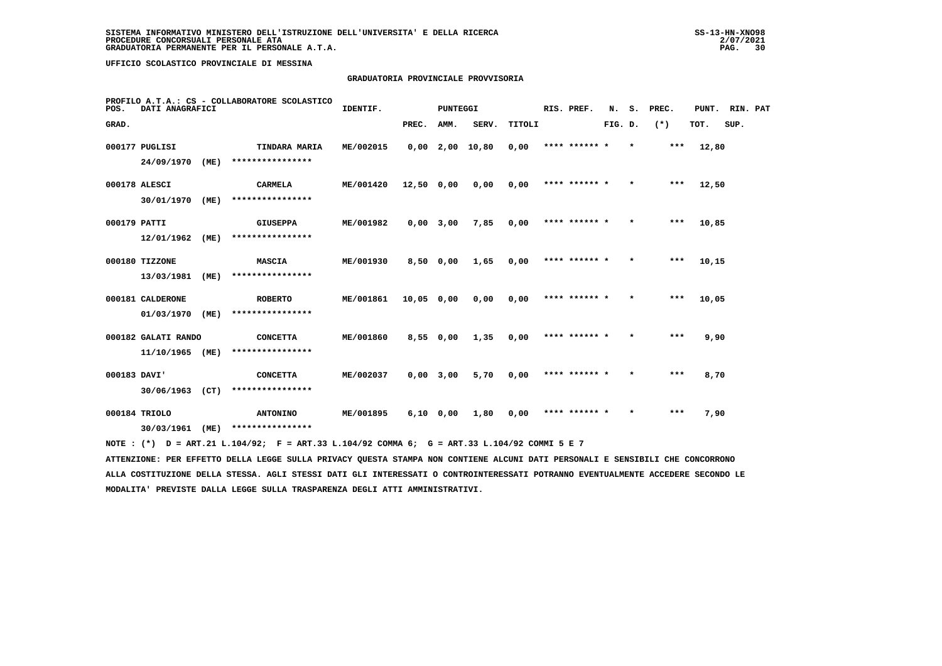# **GRADUATORIA PROVINCIALE PROVVISORIA**

| POS.         | DATI ANAGRAFICI             | PROFILO A.T.A.: CS - COLLABORATORE SCOLASTICO | IDENTIF.                            |           | <b>PUNTEGGI</b> | RIS. PREF.  |                 |        | N. S. PREC.   | PUNT. RIN. PAT |         |       |       |      |  |
|--------------|-----------------------------|-----------------------------------------------|-------------------------------------|-----------|-----------------|-------------|-----------------|--------|---------------|----------------|---------|-------|-------|------|--|
| GRAD.        |                             |                                               |                                     |           | PREC.           | AMM.        | SERV.           | TITOLI |               | FIG. D.        |         | $(*)$ | TOT.  | SUP. |  |
|              | 000177 PUGLISI              |                                               | TINDARA MARIA                       | ME/002015 |                 |             | 0,00 2,00 10,80 | 0,00   | **** ****** * |                | $\star$ | ***   | 12,80 |      |  |
|              | 24/09/1970                  | (ME)                                          | ****************                    |           |                 |             |                 |        |               |                |         |       |       |      |  |
|              | 000178 ALESCI               |                                               | <b>CARMELA</b>                      | ME/001420 | 12,50 0,00      |             | 0,00            | 0.00   | **** ****** * |                | $\star$ | ***   | 12,50 |      |  |
|              | 30/01/1970                  | (ME)                                          | ****************                    |           |                 |             |                 |        |               |                |         |       |       |      |  |
| 000179 PATTI |                             |                                               | <b>GIUSEPPA</b>                     | ME/001982 |                 | $0,00$ 3,00 | 7,85            | 0,00   | **** ****** * |                | $\star$ | ***   | 10,85 |      |  |
|              | 12/01/1962                  | (ME)                                          | ****************                    |           |                 |             |                 |        |               |                |         |       |       |      |  |
|              | 000180 TIZZONE              |                                               | <b>MASCIA</b>                       | ME/001930 |                 | 8,50 0,00   | 1,65            | 0,00   | **** ****** * |                | $\star$ | $***$ | 10,15 |      |  |
|              | 13/03/1981                  | (ME)                                          | ****************                    |           |                 |             |                 |        |               |                |         |       |       |      |  |
|              | 000181 CALDERONE            |                                               | <b>ROBERTO</b>                      | ME/001861 | 10,05 0,00      |             | 0,00            | 0,00   | **** ****** * |                |         | $***$ | 10,05 |      |  |
|              | 01/03/1970                  | (ME)                                          | ****************                    |           |                 |             |                 |        |               |                |         |       |       |      |  |
|              | 000182 GALATI RANDO         |                                               | <b>CONCETTA</b>                     | ME/001860 |                 | 8,55 0,00   | 1,35            | 0,00   | **** ****** * |                | $\star$ | ***   | 9,90  |      |  |
|              | 11/10/1965 (ME)             |                                               | ****************                    |           |                 |             |                 |        |               |                |         |       |       |      |  |
| 000183 DAVI' |                             |                                               | <b>CONCETTA</b><br>**************** | ME/002037 |                 | $0,00$ 3,00 | 5,70            | 0,00   | **** ****** * |                | $\star$ | ***   | 8,70  |      |  |
|              | 30/06/1963                  | (CT)                                          |                                     |           |                 |             |                 |        |               |                |         |       |       |      |  |
|              | 000184 TRIOLO<br>30/03/1961 | (ME)                                          | <b>ANTONINO</b><br>**************** | ME/001895 |                 | 6,10 0,00   | 1,80            | 0,00   | **** ****** * |                | $\star$ | ***   | 7,90  |      |  |
|              |                             |                                               |                                     |           |                 |             |                 |        |               |                |         |       |       |      |  |

 **NOTE : (\*) D = ART.21 L.104/92; F = ART.33 L.104/92 COMMA 6; G = ART.33 L.104/92 COMMI 5 E 7**

 **ATTENZIONE: PER EFFETTO DELLA LEGGE SULLA PRIVACY QUESTA STAMPA NON CONTIENE ALCUNI DATI PERSONALI E SENSIBILI CHE CONCORRONO ALLA COSTITUZIONE DELLA STESSA. AGLI STESSI DATI GLI INTERESSATI O CONTROINTERESSATI POTRANNO EVENTUALMENTE ACCEDERE SECONDO LE MODALITA' PREVISTE DALLA LEGGE SULLA TRASPARENZA DEGLI ATTI AMMINISTRATIVI.**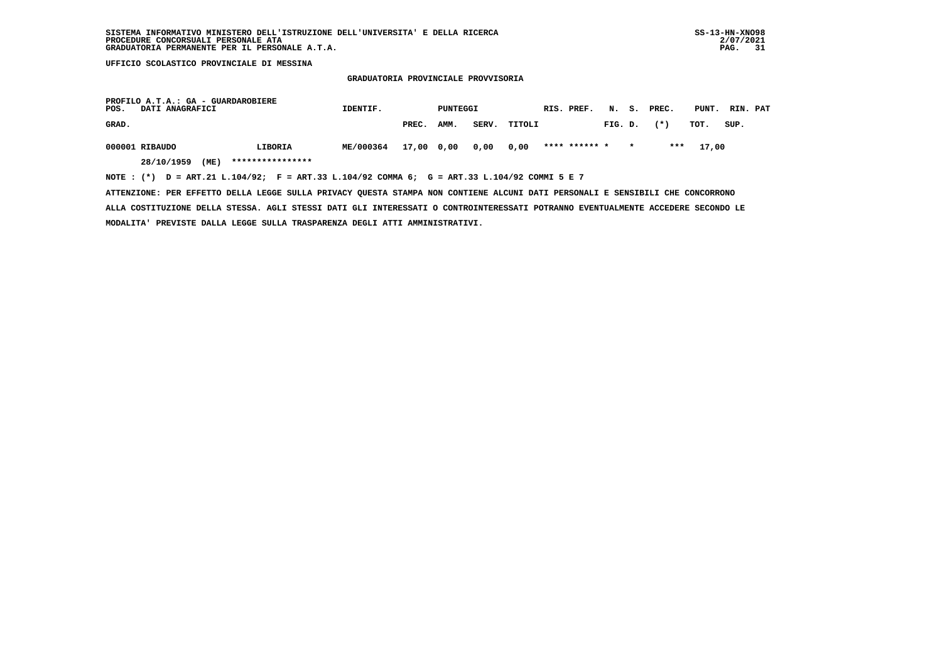#### **GRADUATORIA PROVINCIALE PROVVISORIA**

| PROFILO A.T.A.: GA - GUARDAROBIERE<br>POS.<br><b>DATI ANAGRAFICI</b>                        | IDENTIF.         | PUNTEGGI             |      |       | RIS. PREF. |               |         | N. S. PREC. | PUNT. | RIN. PAT |      |  |
|---------------------------------------------------------------------------------------------|------------------|----------------------|------|-------|------------|---------------|---------|-------------|-------|----------|------|--|
| GRAD.                                                                                       |                  | PREC.                | AMM. | SERV. | TITOLI     |               | FIG. D. |             | $(*)$ | тот.     | SUP. |  |
| 000001 RIBAUDO<br>LIBORIA                                                                   | <b>ME/000364</b> | 17,00 0,00 0,00 0,00 |      |       |            | **** ****** * |         | $\star$     | ***   | 17,00    |      |  |
| ****************<br>28/10/1959<br>(ME)                                                      |                  |                      |      |       |            |               |         |             |       |          |      |  |
| NOTE: (*) D = ART.21 L.104/92; F = ART.33 L.104/92 COMMA 6; G = ART.33 L.104/92 COMMI 5 E 7 |                  |                      |      |       |            |               |         |             |       |          |      |  |

 **ATTENZIONE: PER EFFETTO DELLA LEGGE SULLA PRIVACY QUESTA STAMPA NON CONTIENE ALCUNI DATI PERSONALI E SENSIBILI CHE CONCORRONO ALLA COSTITUZIONE DELLA STESSA. AGLI STESSI DATI GLI INTERESSATI O CONTROINTERESSATI POTRANNO EVENTUALMENTE ACCEDERE SECONDO LE MODALITA' PREVISTE DALLA LEGGE SULLA TRASPARENZA DEGLI ATTI AMMINISTRATIVI.**